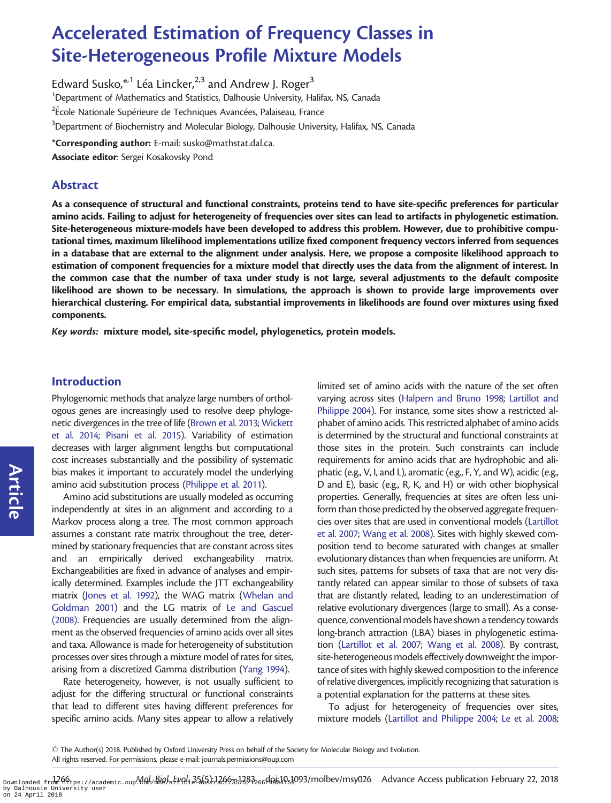# Accelerated Estimation of Frequency Classes in Site-Heterogeneous Profile Mixture Models

Edward Susko, $^{\ast ,1}$  Léa Lincker, $^{2,3}$  and Andrew J. Roger $^3$ <sup>1</sup>Department of Mathematics and Statistics, Dalhousie University, Halifax, NS, Canada  $^2$ École Nationale Supérieure de Techniques Avancées, Palaiseau, France  $^3$ Department of Biochemistry and Molecular Biology, Dalhousie University, Halifax, NS, Canada

\*Corresponding author: E-mail: susko@mathstat.dal.ca.

Associate editor: Sergei Kosakovsky Pond

## Abstract

As a consequence of structural and functional constraints, proteins tend to have site-specific preferences for particular amino acids. Failing to adjust for heterogeneity of frequencies over sites can lead to artifacts in phylogenetic estimation. Site-heterogeneous mixture-models have been developed to address this problem. However, due to prohibitive computational times, maximum likelihood implementations utilize fixed component frequency vectors inferred from sequences in a database that are external to the alignment under analysis. Here, we propose a composite likelihood approach to estimation of component frequencies for a mixture model that directly uses the data from the alignment of interest. In the common case that the number of taxa under study is not large, several adjustments to the default composite likelihood are shown to be necessary. In simulations, the approach is shown to provide large improvements over hierarchical clustering. For empirical data, substantial improvements in likelihoods are found over mixtures using fixed components.

Key words: mixture model, site-specific model, phylogenetics, protein models.

## Introduction

Phylogenomic methods that analyze large numbers of orthologous genes are increasingly used to resolve deep phylogenetic divergences in the tree of life ([Brown et al. 2013](#page-16-0); [Wickett](#page-17-0) [et al. 2014;](#page-17-0) [Pisani et al. 2015](#page-16-0)). Variability of estimation decreases with larger alignment lengths but computational cost increases substantially and the possibility of systematic bias makes it important to accurately model the underlying amino acid substitution process [\(Philippe et al. 2011](#page-16-0)).

Amino acid substitutions are usually modeled as occurring independently at sites in an alignment and according to a Markov process along a tree. The most common approach assumes a constant rate matrix throughout the tree, determined by stationary frequencies that are constant across sites and an empirically derived exchangeability matrix. Exchangeabilities are fixed in advance of analyses and empirically determined. Examples include the JTT exchangeability matrix [\(Jones et al. 1992\)](#page-16-0), the WAG matrix [\(Whelan and](#page-17-0) [Goldman 2001](#page-17-0)) and the LG matrix of [Le and Gascuel](#page-16-0) [\(2008\)](#page-16-0). Frequencies are usually determined from the alignment as the observed frequencies of amino acids over all sites and taxa. Allowance is made for heterogeneity of substitution processes over sites through a mixture model of rates for sites, arising from a discretized Gamma distribution [\(Yang 1994](#page-17-0)).

Rate heterogeneity, however, is not usually sufficient to adjust for the differing structural or functional constraints that lead to different sites having different preferences for specific amino acids. Many sites appear to allow a relatively

limited set of amino acids with the nature of the set often varying across sites ([Halpern and Bruno 1998;](#page-16-0) [Lartillot and](#page-16-0) [Philippe 2004\)](#page-16-0). For instance, some sites show a restricted alphabet of amino acids. This restricted alphabet of amino acids is determined by the structural and functional constraints at those sites in the protein. Such constraints can include requirements for amino acids that are hydrophobic and aliphatic (e.g., V, I, and L), aromatic (e.g., F, Y, and W), acidic (e.g., D and E), basic (e.g., R, K, and H) or with other biophysical properties. Generally, frequencies at sites are often less uniform than those predicted by the observed aggregate frequencies over sites that are used in conventional models ([Lartillot](#page-16-0) [et al. 2007;](#page-16-0) [Wang et al. 2008\)](#page-17-0). Sites with highly skewed composition tend to become saturated with changes at smaller evolutionary distances than when frequencies are uniform. At such sites, patterns for subsets of taxa that are not very distantly related can appear similar to those of subsets of taxa that are distantly related, leading to an underestimation of relative evolutionary divergences (large to small). As a consequence, conventional models have shown a tendency towards long-branch attraction (LBA) biases in phylogenetic estimation ([Lartillot et al. 2007](#page-16-0); [Wang et al. 2008](#page-17-0)). By contrast, site-heterogeneous models effectively downweight the importance of sites with highly skewed composition to the inference of relative divergences, implicitly recognizing that saturation is a potential explanation for the patterns at these sites.

To adjust for heterogeneity of frequencies over sites, mixture models [\(Lartillot and Philippe 2004](#page-16-0); [Le et al. 2008;](#page-16-0)

Article

<sup>-</sup> The Author(s) 2018. Published by Oxford University Press on behalf of the Society for Molecular Biology and Evolution. All rights reserved. For permissions, please e-mail: journals.permissions@oup.com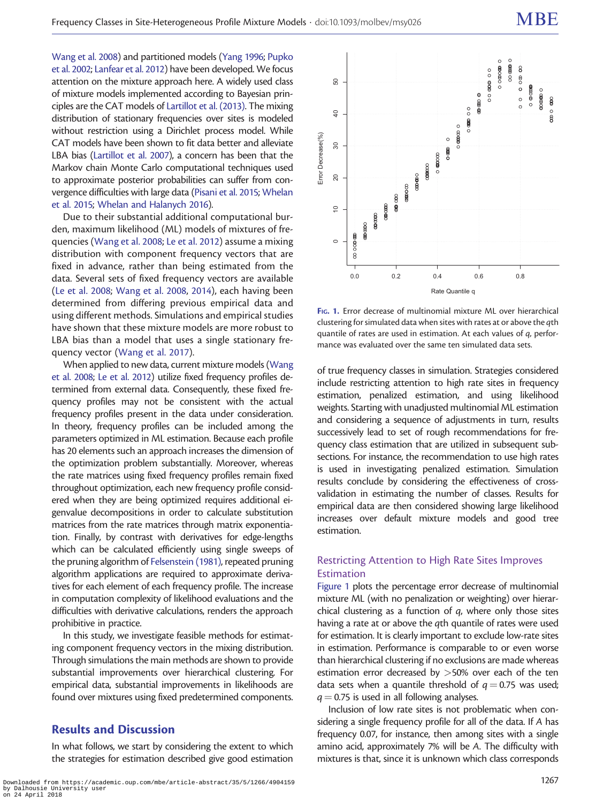[Wang et al. 2008\)](#page-17-0) and partitioned models [\(Yang 1996;](#page-17-0) [Pupko](#page-16-0) [et al. 2002](#page-16-0); [Lanfear et al. 2012](#page-16-0)) have been developed. We focus attention on the mixture approach here. A widely used class of mixture models implemented according to Bayesian principles are the CAT models of [Lartillot et al. \(2013\).](#page-16-0) The mixing distribution of stationary frequencies over sites is modeled without restriction using a Dirichlet process model. While CAT models have been shown to fit data better and alleviate LBA bias [\(Lartillot et al. 2007\)](#page-16-0), a concern has been that the Markov chain Monte Carlo computational techniques used to approximate posterior probabilities can suffer from convergence difficulties with large data ([Pisani et al. 2015;](#page-16-0) [Whelan](#page-17-0) [et al. 2015](#page-17-0); [Whelan and Halanych 2016\)](#page-17-0).

Due to their substantial additional computational burden, maximum likelihood (ML) models of mixtures of frequencies ([Wang et al. 2008](#page-17-0); [Le et al. 2012\)](#page-16-0) assume a mixing distribution with component frequency vectors that are fixed in advance, rather than being estimated from the data. Several sets of fixed frequency vectors are available ([Le et al. 2008;](#page-16-0) [Wang et al. 2008,](#page-17-0) [2014](#page-17-0)), each having been determined from differing previous empirical data and using different methods. Simulations and empirical studies have shown that these mixture models are more robust to LBA bias than a model that uses a single stationary frequency vector [\(Wang et al. 2017](#page-16-0)).

When applied to new data, current mixture models ([Wang](#page-17-0) [et al. 2008;](#page-17-0) [Le et al. 2012](#page-16-0)) utilize fixed frequency profiles determined from external data. Consequently, these fixed frequency profiles may not be consistent with the actual frequency profiles present in the data under consideration. In theory, frequency profiles can be included among the parameters optimized in ML estimation. Because each profile has 20 elements such an approach increases the dimension of the optimization problem substantially. Moreover, whereas the rate matrices using fixed frequency profiles remain fixed throughout optimization, each new frequency profile considered when they are being optimized requires additional eigenvalue decompositions in order to calculate substitution matrices from the rate matrices through matrix exponentiation. Finally, by contrast with derivatives for edge-lengths which can be calculated efficiently using single sweeps of the pruning algorithm of [Felsenstein \(1981\)](#page-16-0), repeated pruning algorithm applications are required to approximate derivatives for each element of each frequency profile. The increase in computation complexity of likelihood evaluations and the difficulties with derivative calculations, renders the approach prohibitive in practice.

In this study, we investigate feasible methods for estimating component frequency vectors in the mixing distribution. Through simulations the main methods are shown to provide substantial improvements over hierarchical clustering. For empirical data, substantial improvements in likelihoods are found over mixtures using fixed predetermined components.

## Results and Discussion

In what follows, we start by considering the extent to which the strategies for estimation described give good estimation



FIG. 1. Error decrease of multinomial mixture ML over hierarchical clustering for simulated data when sites with rates at or above the qth quantile of rates are used in estimation. At each values of q, performance was evaluated over the same ten simulated data sets.

of true frequency classes in simulation. Strategies considered include restricting attention to high rate sites in frequency estimation, penalized estimation, and using likelihood weights. Starting with unadjusted multinomial ML estimation and considering a sequence of adjustments in turn, results successively lead to set of rough recommendations for frequency class estimation that are utilized in subsequent subsections. For instance, the recommendation to use high rates is used in investigating penalized estimation. Simulation results conclude by considering the effectiveness of crossvalidation in estimating the number of classes. Results for empirical data are then considered showing large likelihood increases over default mixture models and good tree estimation.

## Restricting Attention to High Rate Sites Improves Estimation

Figure 1 plots the percentage error decrease of multinomial mixture ML (with no penalization or weighting) over hierarchical clustering as a function of  $q$ , where only those sites having a rate at or above the qth quantile of rates were used for estimation. It is clearly important to exclude low-rate sites in estimation. Performance is comparable to or even worse than hierarchical clustering if no exclusions are made whereas estimation error decreased by  $>50\%$  over each of the ten data sets when a quantile threshold of  $q = 0.75$  was used;  $q = 0.75$  is used in all following analyses.

Inclusion of low rate sites is not problematic when considering a single frequency profile for all of the data. If A has frequency 0.07, for instance, then among sites with a single amino acid, approximately 7% will be A. The difficulty with mixtures is that, since it is unknown which class corresponds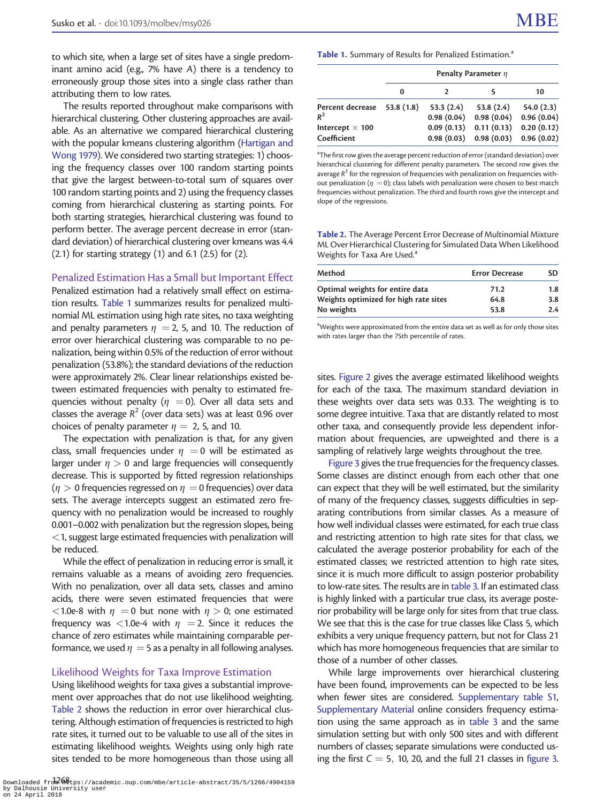<span id="page-2-0"></span>to which site, when a large set of sites have a single predominant amino acid (e.g., 7% have A) there is a tendency to erroneously group those sites into a single class rather than attributing them to low rates.

The results reported throughout make comparisons with hierarchical clustering. Other clustering approaches are available. As an alternative we compared hierarchical clustering with the popular kmeans clustering algorithm [\(Hartigan and](#page-16-0) [Wong 1979\)](#page-16-0). We considered two starting strategies: 1) choosing the frequency classes over 100 random starting points that give the largest between-to-total sum of squares over 100 random starting points and 2) using the frequency classes coming from hierarchical clustering as starting points. For both starting strategies, hierarchical clustering was found to perform better. The average percent decrease in error (standard deviation) of hierarchical clustering over kmeans was 4.4  $(2.1)$  for starting strategy  $(1)$  and  $6.1$   $(2.5)$  for  $(2)$ .

#### Penalized Estimation Has a Small but Important Effect

Penalized estimation had a relatively small effect on estimation results. Table 1 summarizes results for penalized multinomial ML estimation using high rate sites, no taxa weighting and penalty parameters  $\eta = 2$ , 5, and 10. The reduction of error over hierarchical clustering was comparable to no penalization, being within 0.5% of the reduction of error without penalization (53.8%); the standard deviations of the reduction were approximately 2%. Clear linear relationships existed between estimated frequencies with penalty to estimated frequencies without penalty ( $\eta$  = 0). Over all data sets and classes the average  $R^2$  (over data sets) was at least 0.96 over choices of penalty parameter  $\eta = 2$ , 5, and 10.

The expectation with penalization is that, for any given class, small frequencies under  $\eta = 0$  will be estimated as larger under  $\eta > 0$  and large frequencies will consequently decrease. This is supported by fitted regression relationships  $(n > 0$  frequencies regressed on  $n = 0$  frequencies) over data sets. The average intercepts suggest an estimated zero frequency with no penalization would be increased to roughly 0.001–0.002 with penalization but the regression slopes, being <1, suggest large estimated frequencies with penalization will be reduced.

While the effect of penalization in reducing error is small, it remains valuable as a means of avoiding zero frequencies. With no penalization, over all data sets, classes and amino acids, there were seven estimated frequencies that were <1.0e-8 with  $\eta$  = 0 but none with  $\eta$  > 0; one estimated frequency was <1.0e-4 with  $\eta$  = 2. Since it reduces the chance of zero estimates while maintaining comparable performance, we used  $\eta = 5$  as a penalty in all following analyses.

## Likelihood Weights for Taxa Improve Estimation

Using likelihood weights for taxa gives a substantial improvement over approaches that do not use likelihood weighting. Table 2 shows the reduction in error over hierarchical clustering. Although estimation of frequencies is restricted to high rate sites, it turned out to be valuable to use all of the sites in estimating likelihood weights. Weights using only high rate sites tended to be more homogeneous than those using all

#### Table 1. Summary of Results for Penalized Estimation.<sup>a</sup>

|                                       | Penalty Parameter $\eta$ |                         |                                                      |            |  |
|---------------------------------------|--------------------------|-------------------------|------------------------------------------------------|------------|--|
|                                       | 0                        |                         |                                                      | 10         |  |
| Percent decrease 53.8 (1.8)<br>$R^2$  |                          | 53.3(2.4)<br>0.98(0.04) | 53.8(2.4)<br>$0.98(0.04)$ 0.96 (0.04)                | 54.0(2.3)  |  |
| Intercept $\times$ 100<br>Coefficient |                          | 0.09(0.13)              | 0.11(0.13)<br>$0.98(0.03)$ $0.98(0.03)$ $0.96(0.02)$ | 0.20(0.12) |  |

<sup>a</sup>The first row gives the average percent reduction of error (standard deviation) over hierarchical clustering for different penalty parameters. The second row gives the average  $R^2$  for the regression of frequencies with penalization on frequencies without penalization ( $\eta = 0$ ); class labels with penalization were chosen to best match frequencies without penalization. The third and fourth rows give the intercept and slope of the regressions.

Table 2. The Average Percent Error Decrease of Multinomial Mixture ML Over Hierarchical Clustering for Simulated Data When Likelihood Weights for Taxa Are Used.<sup>a</sup>

| Method                                | <b>Error Decrease</b> | SD. |  |
|---------------------------------------|-----------------------|-----|--|
| Optimal weights for entire data       | 71.2                  | 1.8 |  |
| Weights optimized for high rate sites | 64.8                  | 3.8 |  |
| No weights                            | 53.8                  | 2.4 |  |

<sup>a</sup>Weights were approximated from the entire data set as well as for only those sites with rates larger than the 75th percentile of rates.

sites. [Figure 2](#page-3-0) gives the average estimated likelihood weights for each of the taxa. The maximum standard deviation in these weights over data sets was 0.33. The weighting is to some degree intuitive. Taxa that are distantly related to most other taxa, and consequently provide less dependent information about frequencies, are upweighted and there is a sampling of relatively large weights throughout the tree.

[Figure 3](#page-4-0) gives the true frequencies for the frequency classes. Some classes are distinct enough from each other that one can expect that they will be well estimated, but the similarity of many of the frequency classes, suggests difficulties in separating contributions from similar classes. As a measure of how well individual classes were estimated, for each true class and restricting attention to high rate sites for that class, we calculated the average posterior probability for each of the estimated classes; we restricted attention to high rate sites, since it is much more difficult to assign posterior probability to low-rate sites. The results are in [table 3](#page-4-0). If an estimated class is highly linked with a particular true class, its average posterior probability will be large only for sites from that true class. We see that this is the case for true classes like Class 5, which exhibits a very unique frequency pattern, but not for Class 21 which has more homogeneous frequencies that are similar to those of a number of other classes.

While large improvements over hierarchical clustering have been found, improvements can be expected to be less when fewer sites are considered. [Supplementary table S1,](https://academic.oup.com/mbe/article-lookup/doi/10.1093/molbev/msy026#supplementary-data) [Supplementary Material](https://academic.oup.com/mbe/article-lookup/doi/10.1093/molbev/msy026#supplementary-data) online considers frequency estimation using the same approach as in [table 3](#page-4-0) and the same simulation setting but with only 500 sites and with different numbers of classes; separate simulations were conducted using the first  $C = 5$ , 10, 20, and the full 21 classes in [figure 3.](#page-4-0)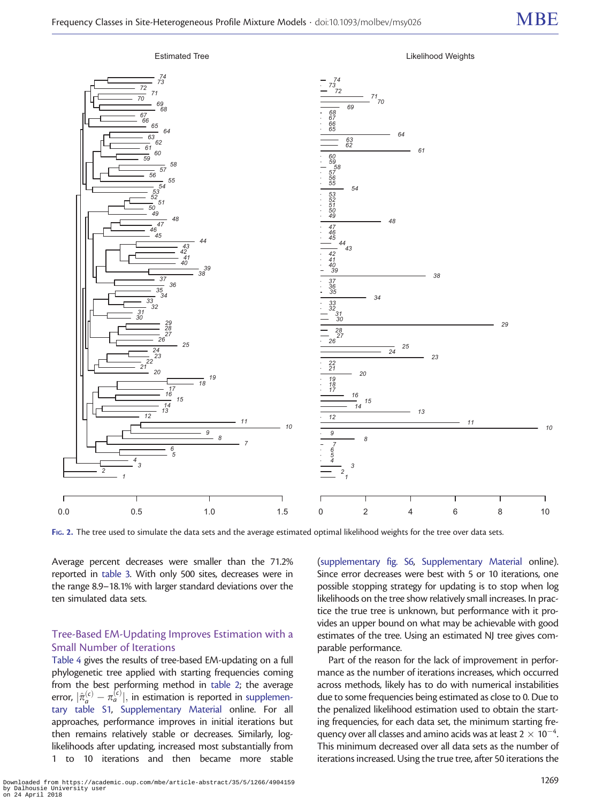<span id="page-3-0"></span>

FIG. 2. The tree used to simulate the data sets and the average estimated optimal likelihood weights for the tree over data sets.

Average percent decreases were smaller than the 71.2% reported in [table 3.](#page-4-0) With only 500 sites, decreases were in the range 8.9–18.1% with larger standard deviations over the ten simulated data sets.

#### Tree-Based EM-Updating Improves Estimation with a Small Number of Iterations

[Table 4](#page-5-0) gives the results of tree-based EM-updating on a full phylogenetic tree applied with starting frequencies coming from the best performing method in [table 2;](#page-2-0) the average error,  $|\hat{\pi}_a^{(c)} - \pi_a^{(c)}|$ , in estimation is reported in [supplemen](https://academic.oup.com/mbe/article-lookup/doi/10.1093/molbev/msy026#supplementary-data)[tary table S1](https://academic.oup.com/mbe/article-lookup/doi/10.1093/molbev/msy026#supplementary-data), [Supplementary Material](https://academic.oup.com/mbe/article-lookup/doi/10.1093/molbev/msy026#supplementary-data) online. For all approaches, performance improves in initial iterations but then remains relatively stable or decreases. Similarly, loglikelihoods after updating, increased most substantially from 1 to 10 iterations and then became more stable

[\(supplementary fig. S6](https://academic.oup.com/mbe/article-lookup/doi/10.1093/molbev/msy026#supplementary-data), [Supplementary Material](https://academic.oup.com/mbe/article-lookup/doi/10.1093/molbev/msy026#supplementary-data) online). Since error decreases were best with 5 or 10 iterations, one possible stopping strategy for updating is to stop when log likelihoods on the tree show relatively small increases. In practice the true tree is unknown, but performance with it provides an upper bound on what may be achievable with good estimates of the tree. Using an estimated NJ tree gives comparable performance.

Part of the reason for the lack of improvement in performance as the number of iterations increases, which occurred across methods, likely has to do with numerical instabilities due to some frequencies being estimated as close to 0. Due to the penalized likelihood estimation used to obtain the starting frequencies, for each data set, the minimum starting frequency over all classes and amino acids was at least 2  $\times$  10 $^{-4}$ . This minimum decreased over all data sets as the number of iterations increased. Using the true tree, after 50 iterations the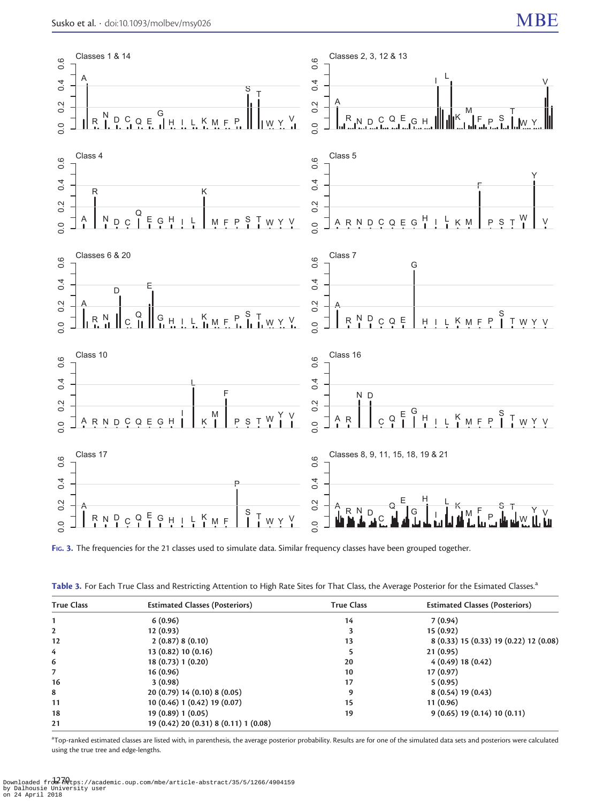<span id="page-4-0"></span>

FIG. 3. The frequencies for the 21 classes used to simulate data. Similar frequency classes have been grouped together.

| Table 3. For Each True Class and Restricting Attention to High Rate Sites for That Class, the Average Posterior for the Esimated Classes. <sup>5</sup> |
|--------------------------------------------------------------------------------------------------------------------------------------------------------|
|--------------------------------------------------------------------------------------------------------------------------------------------------------|

| <b>True Class</b> | <b>Estimated Classes (Posteriors)</b> | <b>True Class</b> | <b>Estimated Classes (Posteriors)</b>  |
|-------------------|---------------------------------------|-------------------|----------------------------------------|
|                   | 6(0.96)                               | 14                | 7(0.94)                                |
| $\overline{2}$    | 12(0.93)                              |                   | 15(0.92)                               |
| 12                | 2(0.87)8(0.10)                        | 13                | 8 (0.33) 15 (0.33) 19 (0.22) 12 (0.08) |
| 4                 | 13 (0.82) 10 (0.16)                   |                   | 21(0.95)                               |
| 6                 | 18 (0.73) 1 (0.20)                    | 20                | 4(0.49) 18(0.42)                       |
| 7                 | 16(0.96)                              | 10                | 17(0.97)                               |
| 16                | 3(0.98)                               | 17                | 5(0.95)                                |
| 8                 | 20 (0.79) 14 (0.10) 8 (0.05)          | 9                 | 8(0.54)19(0.43)                        |
| 11                | 10 (0.46) 1 (0.42) 19 (0.07)          | 15                | 11(0.96)                               |
| 18                | 19 (0.89) 1 (0.05)                    | 19                | 9(0.65) 19(0.14) 10(0.11)              |
| 21                | 19 (0.42) 20 (0.31) 8 (0.11) 1 (0.08) |                   |                                        |

<sup>a</sup>Top-ranked estimated classes are listed with, in parenthesis, the average posterior probability. Results are for one of the simulated data sets and posteriors were calculated using the true tree and edge-lengths.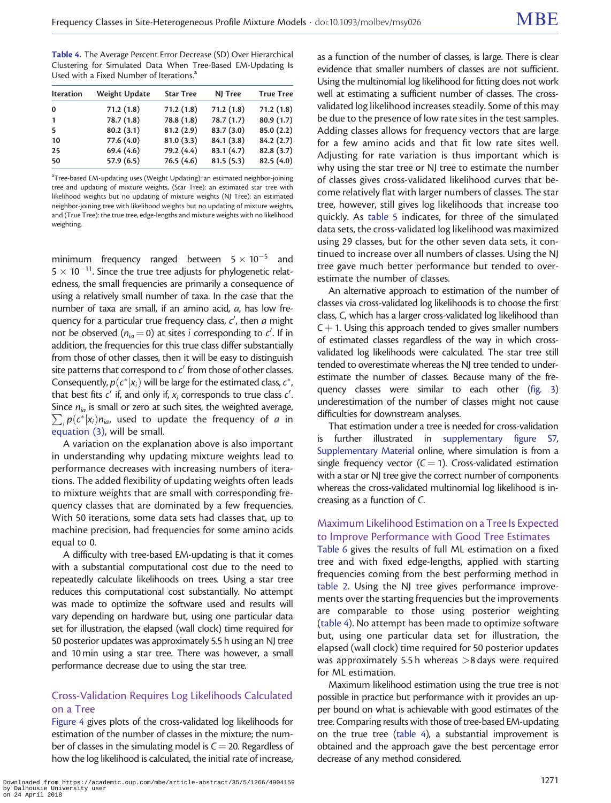<span id="page-5-0"></span>Table 4. The Average Percent Error Decrease (SD) Over Hierarchical Clustering for Simulated Data When Tree-Based EM-Updating Is Used with a Fixed Number of Iterations.<sup>a</sup>

| <b>Iteration</b> | Weight Update | <b>Star Tree</b> | NJ Tree    | <b>True Tree</b> |
|------------------|---------------|------------------|------------|------------------|
| $\bf{0}$         | 71.2(1.8)     | 71.2(1.8)        | 71.2(1.8)  | 71.2(1.8)        |
| $\mathbf{1}$     | 78.7(1.8)     | 78.8 (1.8)       | 78.7(1.7)  | 80.9(1.7)        |
| 5                | 80.2(3.1)     | 81.2(2.9)        | 83.7(3.0)  | 85.0(2.2)        |
| 10               | 77.6 (4.0)    | 81.0(3.3)        | 84.1 (3.8) | 84.2(2.7)        |
| 25               | 69.4(4.6)     | 79.2 (4.4)       | 83.1(4.7)  | 82.8(3.7)        |
| 50               | 57.9(6.5)     | 76.5(4.6)        | 81.5(5.3)  | 82.5(4.0)        |
|                  |               |                  |            |                  |

<sup>a</sup>Tree-based EM-updating uses (Weight Updating): an estimated neighbor-joining tree and updating of mixture weights, (Star Tree): an estimated star tree with likelihood weights but no updating of mixture weights (NJ Tree): an estimated neighbor-joining tree with likelihood weights but no updating of mixture weights, and (True Tree): the true tree, edge-lengths and mixture weights with no likelihood weighting.

minimum frequency ranged between  $5\times 10^{-5}$  and 5  $\times$  10 $^{-11}$ . Since the true tree adjusts for phylogenetic relatedness, the small frequencies are primarily a consequence of using a relatively small number of taxa. In the case that the number of taxa are small, if an amino acid, a, has low frequency for a particular true frequency class,  $c^\prime$ , then  $a$  might not be observed ( $n_{ia} = 0$ ) at sites i corresponding to  $c'$ . If in addition, the frequencies for this true class differ substantially from those of other classes, then it will be easy to distinguish site patterns that correspond to  $c'$  from those of other classes. Consequently,  $p(c^*|x_i)$  will be large for the estimated class,  $c^*$ , that best fits  $c'$  if, and only if,  $x_i$  corresponds to true class  $c'$ . . Since  $n_{ia}$  is small or zero at such sites, the weighted average,  $\sum_i p(c^*|x_i) n_{ia}$ , used to update the frequency of a in [equation \(3\)](#page-12-0), will be small.

A variation on the explanation above is also important in understanding why updating mixture weights lead to performance decreases with increasing numbers of iterations. The added flexibility of updating weights often leads to mixture weights that are small with corresponding frequency classes that are dominated by a few frequencies. With 50 iterations, some data sets had classes that, up to machine precision, had frequencies for some amino acids equal to 0.

A difficulty with tree-based EM-updating is that it comes with a substantial computational cost due to the need to repeatedly calculate likelihoods on trees. Using a star tree reduces this computational cost substantially. No attempt was made to optimize the software used and results will vary depending on hardware but, using one particular data set for illustration, the elapsed (wall clock) time required for 50 posterior updates was approximately 5.5 h using an NJ tree and 10 min using a star tree. There was however, a small performance decrease due to using the star tree.

## Cross-Validation Requires Log Likelihoods Calculated on a Tree

[Figure 4](#page-6-0) gives plots of the cross-validated log likelihoods for estimation of the number of classes in the mixture; the number of classes in the simulating model is  $C = 20$ . Regardless of how the log likelihood is calculated, the initial rate of increase,

as a function of the number of classes, is large. There is clear evidence that smaller numbers of classes are not sufficient. Using the multinomial log likelihood for fitting does not work well at estimating a sufficient number of classes. The crossvalidated log likelihood increases steadily. Some of this may be due to the presence of low rate sites in the test samples. Adding classes allows for frequency vectors that are large for a few amino acids and that fit low rate sites well. Adjusting for rate variation is thus important which is why using the star tree or NJ tree to estimate the number of classes gives cross-validated likelihood curves that become relatively flat with larger numbers of classes. The star tree, however, still gives log likelihoods that increase too quickly. As [table 5](#page-7-0) indicates, for three of the simulated data sets, the cross-validated log likelihood was maximized using 29 classes, but for the other seven data sets, it continued to increase over all numbers of classes. Using the NJ tree gave much better performance but tended to overestimate the number of classes.

An alternative approach to estimation of the number of classes via cross-validated log likelihoods is to choose the first class, C, which has a larger cross-validated log likelihood than  $C + 1$ . Using this approach tended to gives smaller numbers of estimated classes regardless of the way in which crossvalidated log likelihoods were calculated. The star tree still tended to overestimate whereas the NJ tree tended to underestimate the number of classes. Because many of the frequency classes were similar to each other [\(fig. 3](#page-4-0)) underestimation of the number of classes might not cause difficulties for downstream analyses.

That estimation under a tree is needed for cross-validation is further illustrated in [supplementary figure S7,](https://academic.oup.com/mbe/article-lookup/doi/10.1093/molbev/msy026#supplementary-data) [Supplementary Material](https://academic.oup.com/mbe/article-lookup/doi/10.1093/molbev/msy026#supplementary-data) online, where simulation is from a single frequency vector  $(C = 1)$ . Cross-validated estimation with a star or NJ tree give the correct number of components whereas the cross-validated multinomial log likelihood is increasing as a function of C.

## Maximum Likelihood Estimation on a Tree Is Expected to Improve Performance with Good Tree Estimates

[Table 6](#page-7-0) gives the results of full ML estimation on a fixed tree and with fixed edge-lengths, applied with starting frequencies coming from the best performing method in [table 2.](#page-2-0) Using the NJ tree gives performance improvements over the starting frequencies but the improvements are comparable to those using posterior weighting (table 4). No attempt has been made to optimize software but, using one particular data set for illustration, the elapsed (wall clock) time required for 50 posterior updates was approximately 5.5 h whereas  $>8$  days were required for ML estimation.

Maximum likelihood estimation using the true tree is not possible in practice but performance with it provides an upper bound on what is achievable with good estimates of the tree. Comparing results with those of tree-based EM-updating on the true tree (table 4), a substantial improvement is obtained and the approach gave the best percentage error decrease of any method considered.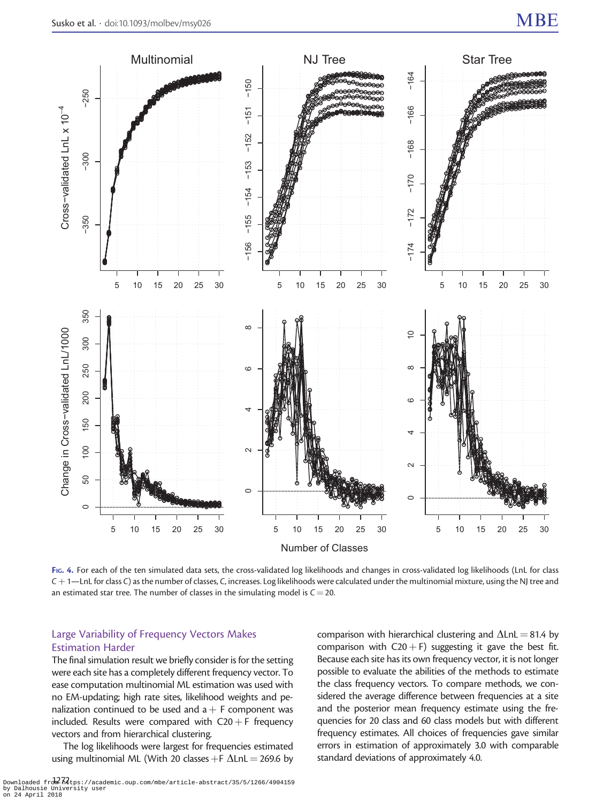<span id="page-6-0"></span>

FIG. 4. For each of the ten simulated data sets, the cross-validated log likelihoods and changes in cross-validated log likelihoods (LnL for class  $C + 1$ —LnL for class C) as the number of classes, C, increases. Log likelihoods were calculated under the multinomial mixture, using the NJ tree and an estimated star tree. The number of classes in the simulating model is  $C = 20$ .

## Large Variability of Frequency Vectors Makes Estimation Harder

The final simulation result we briefly consider is for the setting were each site has a completely different frequency vector. To ease computation multinomial ML estimation was used with no EM-updating; high rate sites, likelihood weights and penalization continued to be used and  $a + F$  component was included. Results were compared with  $C20 + F$  frequency vectors and from hierarchical clustering.

The log likelihoods were largest for frequencies estimated using multinomial ML (With 20 classes +F  $\Delta$ LnL = 269.6 by

sidered the average difference between frequencies at a site and the posterior mean frequency estimate using the frequencies for 20 class and 60 class models but with different frequency estimates. All choices of frequencies gave similar errors in estimation of approximately 3.0 with comparable standard deviations of approximately 4.0.

comparison with hierarchical clustering and  $\Delta$ LnL = 81.4 by comparison with C20 + F) suggesting it gave the best fit. Because each site has its own frequency vector, it is not longer possible to evaluate the abilities of the methods to estimate the class frequency vectors. To compare methods, we con-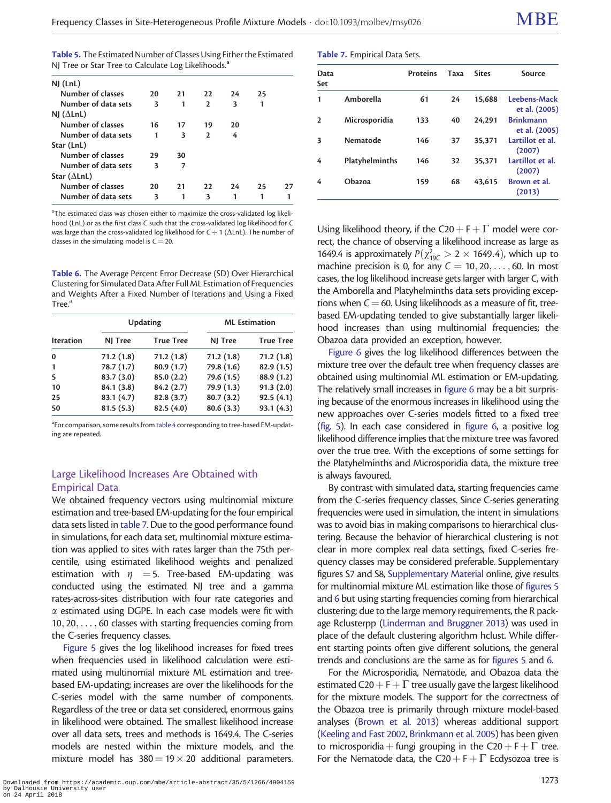<span id="page-7-0"></span>

| Table 5. The Estimated Number of Classes Using Either the Estimated |
|---------------------------------------------------------------------|
| NJ Tree or Star Tree to Calculate Log Likelihoods. <sup>4</sup>     |

| $NJ$ (LnL)          |    |    |               |    |    |    |
|---------------------|----|----|---------------|----|----|----|
| Number of classes   | 20 | 21 | 22.           | 24 | 25 |    |
| Number of data sets | 3  | 1  | $\mathcal{P}$ | 3  | 1  |    |
| NJ ( $\Delta$ LnL)  |    |    |               |    |    |    |
| Number of classes   | 16 | 17 | 19            | 20 |    |    |
| Number of data sets | 1  | 3  | $\mathcal{P}$ | 4  |    |    |
| Star (LnL)          |    |    |               |    |    |    |
| Number of classes   | 29 | 30 |               |    |    |    |
| Number of data sets | 3  | 7  |               |    |    |    |
| Star $(\Delta LnL)$ |    |    |               |    |    |    |
| Number of classes   | 20 | 21 | 22            | 24 | 25 | 27 |
| Number of data sets | 3  | 1  | 3             |    |    |    |

<sup>a</sup>The estimated class was chosen either to maximize the cross-validated log likelihood (LnL) or as the first class C such that the cross-validated log likelihood for C was large than the cross-validated log likelihood for  $C + 1$  ( $\Delta$ LnL). The number of classes in the simulating model is  $C = 20$ .

Table 6. The Average Percent Error Decrease (SD) Over Hierarchical Clustering for Simulated Data After Full ML Estimation of Frequencies and Weights After a Fixed Number of Iterations and Using a Fixed  $Tree<sup>3</sup>$ 

|                  |            | <b>Updating</b>  | <b>ML</b> Estimation |                  |  |
|------------------|------------|------------------|----------------------|------------------|--|
| <b>Iteration</b> | NJ Tree    | <b>True Tree</b> | NJ Tree              | <b>True Tree</b> |  |
| $\bf{0}$         | 71.2(1.8)  | 71.2(1.8)        | 71.2(1.8)            | 71.2(1.8)        |  |
| 1                | 78.7(1.7)  | 80.9(1.7)        | 79.8 (1.6)           | 82.9(1.5)        |  |
| 5                | 83.7(3.0)  | 85.0(2.2)        | 79.6 (1.5)           | 88.9 (1.2)       |  |
| 10               | 84.1 (3.8) | 84.2(2.7)        | 79.9(1.3)            | 91.3(2.0)        |  |
| 25               | 83.1(4.7)  | 82.8(3.7)        | 80.7(3.2)            | 92.5(4.1)        |  |
| 50               | 81.5(5.3)  | 82.5(4.0)        | 80.6(3.3)            | 93.1(4.3)        |  |

<sup>a</sup>For comparison, some results from [table 4](#page-5-0) corresponding to tree-based EM-updating are repeated.

## Large Likelihood Increases Are Obtained with Empirical Data

We obtained frequency vectors using multinomial mixture estimation and tree-based EM-updating for the four empirical data sets listed in table 7. Due to the good performance found in simulations, for each data set, multinomial mixture estimation was applied to sites with rates larger than the 75th percentile, using estimated likelihood weights and penalized estimation with  $\eta$  = 5. Tree-based EM-updating was conducted using the estimated NJ tree and a gamma rates-across-sites distribution with four rate categories and  $\alpha$  estimated using DGPE. In each case models were fit with 10; 20; ... ; 60 classes with starting frequencies coming from the C-series frequency classes.

[Figure 5](#page-8-0) gives the log likelihood increases for fixed trees when frequencies used in likelihood calculation were estimated using multinomial mixture ML estimation and treebased EM-updating; increases are over the likelihoods for the C-series model with the same number of components. Regardless of the tree or data set considered, enormous gains in likelihood were obtained. The smallest likelihood increase over all data sets, trees and methods is 1649.4. The C-series models are nested within the mixture models, and the mixture model has  $380 = 19 \times 20$  additional parameters.

|  | Table 7. Empirical Data Sets. |  |  |
|--|-------------------------------|--|--|
|--|-------------------------------|--|--|

| Data<br>Set  |                | Proteins | Taxa | <b>Sites</b> | Source                            |
|--------------|----------------|----------|------|--------------|-----------------------------------|
| 1            | Amborella      | 61       | 24   | 15.688       | Leebens-Mack<br>et al. (2005)     |
| $\mathbf{2}$ | Microsporidia  | 133      | 40   | 24.291       | <b>Brinkmann</b><br>et al. (2005) |
| 3            | Nematode       | 146      | 37   | 35.371       | Lartillot et al.<br>(2007)        |
| 4            | Platyhelminths | 146      | 32   | 35.371       | Lartillot et al.<br>(2007)        |
| 4            | Obazoa         | 159      | 68   | 43.615       | Brown et al.<br>(2013)            |

Using likelihood theory, if the C20 +  $F + \Gamma$  model were correct, the chance of observing a likelihood increase as large as 1649.4 is approximately  $P(\chi_{19C}^2 > 2 \times 1649.4)$ , which up to machine precision is 0, for any  $C = 10, 20, \ldots, 60$ . In most cases, the log likelihood increase gets larger with larger C, with the Amborella and Platyhelminths data sets providing exceptions when  $C = 60$ . Using likelihoods as a measure of fit, treebased EM-updating tended to give substantially larger likelihood increases than using multinomial frequencies; the Obazoa data provided an exception, however.

[Figure 6](#page-9-0) gives the log likelihood differences between the mixture tree over the default tree when frequency classes are obtained using multinomial ML estimation or EM-updating. The relatively small increases in [figure 6](#page-9-0) may be a bit surprising because of the enormous increases in likelihood using the new approaches over C-series models fitted to a fixed tree [\(fig. 5\)](#page-8-0). In each case considered in [figure 6](#page-9-0), a positive log likelihood difference implies that the mixture tree was favored over the true tree. With the exceptions of some settings for the Platyhelminths and Microsporidia data, the mixture tree is always favoured.

By contrast with simulated data, starting frequencies came from the C-series frequency classes. Since C-series generating frequencies were used in simulation, the intent in simulations was to avoid bias in making comparisons to hierarchical clustering. Because the behavior of hierarchical clustering is not clear in more complex real data settings, fixed C-series frequency classes may be considered preferable. Supplementary figures S7 and S8, [Supplementary Material](https://academic.oup.com/mbe/article-lookup/doi/10.1093/molbev/msy026#supplementary-data) online, give results for multinomial mixture ML estimation like those of [figures 5](#page-8-0) and [6](#page-9-0) but using starting frequencies coming from hierarchical clustering; due to the large memory requirements, the R package Rclusterpp [\(Linderman and Bruggner 2013](#page-16-0)) was used in place of the default clustering algorithm hclust. While different starting points often give different solutions, the general trends and conclusions are the same as for [figures 5](#page-8-0) and [6.](#page-9-0)

For the Microsporidia, Nematode, and Obazoa data the estimated C20 + F +  $\Gamma$  tree usually gave the largest likelihood for the mixture models. The support for the correctness of the Obazoa tree is primarily through mixture model-based analyses [\(Brown et al. 2013](#page-16-0)) whereas additional support [\(Keeling and Fast 2002](#page-16-0), [Brinkmann et al. 2005\)](#page-16-0) has been given to microsporidia + fungi grouping in the C20 + F +  $\Gamma$  tree. For the Nematode data, the C20 + F +  $\Gamma$  Ecdysozoa tree is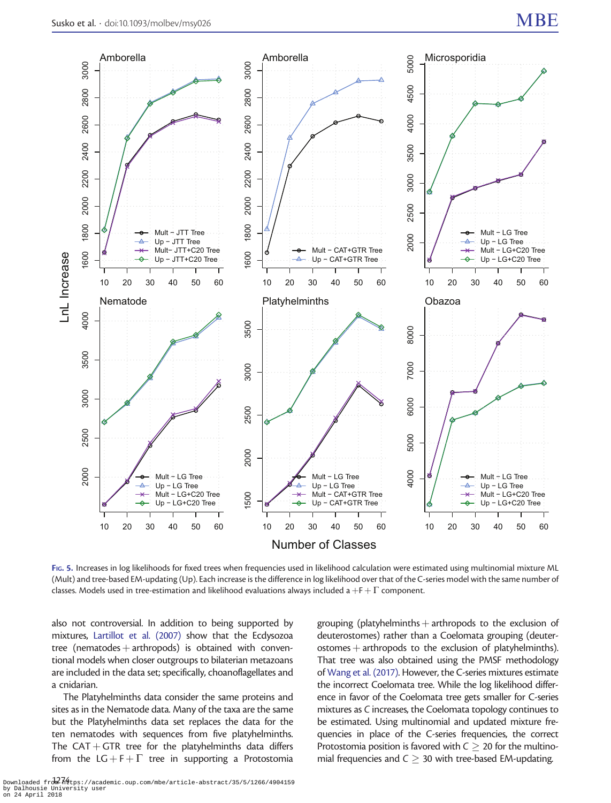<span id="page-8-0"></span>

FIG. 5. Increases in log likelihoods for fixed trees when frequencies used in likelihood calculation were estimated using multinomial mixture ML (Mult) and tree-based EM-updating (Up). Each increase is the difference in log likelihood over that of the C-series model with the same number of classes. Models used in tree-estimation and likelihood evaluations always included a  $+ F + \Gamma$  component.

also not controversial. In addition to being supported by mixtures, [Lartillot et al. \(2007\)](#page-16-0) show that the Ecdysozoa tree (nematodes  $+$  arthropods) is obtained with conventional models when closer outgroups to bilaterian metazoans are included in the data set; specifically, choanoflagellates and a cnidarian.

The Platyhelminths data consider the same proteins and sites as in the Nematode data. Many of the taxa are the same but the Platyhelminths data set replaces the data for the ten nematodes with sequences from five platyhelminths. The CAT + GTR tree for the platyhelminths data differs from the  $LG + F + \Gamma$  tree in supporting a Protostomia

grouping (platyhelminths  $+$  arthropods to the exclusion of deuterostomes) rather than a Coelomata grouping (deuter $o$ stomes  $+$  arthropods to the exclusion of platyhelminths). That tree was also obtained using the PMSF methodology of [Wang et al. \(2017\)](#page-16-0). However, the C-series mixtures estimate the incorrect Coelomata tree. While the log likelihood difference in favor of the Coelomata tree gets smaller for C-series mixtures as C increases, the Coelomata topology continues to be estimated. Using multinomial and updated mixture frequencies in place of the C-series frequencies, the correct Protostomia position is favored with  $C \geq 20$  for the multinomial frequencies and  $C \geq 30$  with tree-based EM-updating.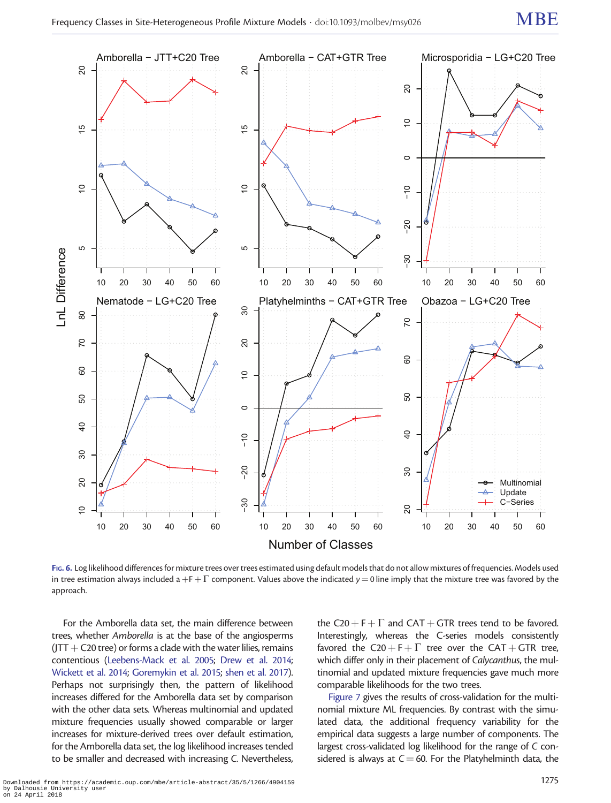<span id="page-9-0"></span>

FIG. 6. Log likelihood differences for mixture trees over trees estimated using default models that do not allow mixtures of frequencies. Models used in tree estimation always included a +F +  $\Gamma$  component. Values above the indicated y = 0 line imply that the mixture tree was favored by the approach.

For the Amborella data set, the main difference between trees, whether Amborella is at the base of the angiosperms  $(JTT+C20$  tree) or forms a clade with the water lilies, remains contentious ([Leebens-Mack et al. 2005](#page-16-0); [Drew et al. 2014;](#page-16-0) [Wickett et al. 2014](#page-17-0); [Goremykin et al. 2015](#page-16-0); [shen et al. 2017\)](#page-16-0). Perhaps not surprisingly then, the pattern of likelihood increases differed for the Amborella data set by comparison with the other data sets. Whereas multinomial and updated mixture frequencies usually showed comparable or larger increases for mixture-derived trees over default estimation, for the Amborella data set, the log likelihood increases tended to be smaller and decreased with increasing C. Nevertheless,

the C20 + F +  $\Gamma$  and CAT + GTR trees tend to be favored. Interestingly, whereas the C-series models consistently favored the C20 + F +  $\Gamma$  tree over the CAT + GTR tree, which differ only in their placement of Calycanthus, the multinomial and updated mixture frequencies gave much more comparable likelihoods for the two trees.

[Figure 7](#page-10-0) gives the results of cross-validation for the multinomial mixture ML frequencies. By contrast with the simulated data, the additional frequency variability for the empirical data suggests a large number of components. The largest cross-validated log likelihood for the range of C considered is always at  $C = 60$ . For the Platyhelminth data, the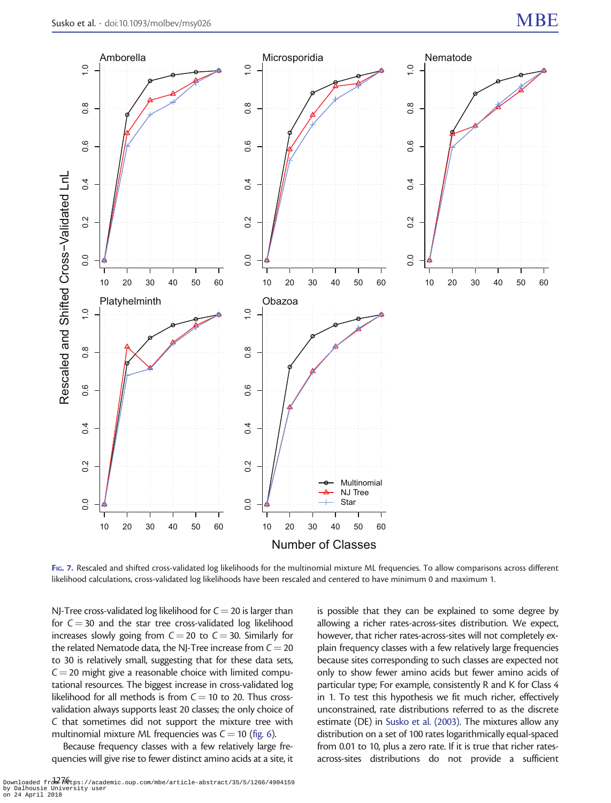<span id="page-10-0"></span>

FIG. 7. Rescaled and shifted cross-validated log likelihoods for the multinomial mixture ML frequencies. To allow comparisons across different likelihood calculations, cross-validated log likelihoods have been rescaled and centered to have minimum 0 and maximum 1.

NJ-Tree cross-validated log likelihood for  $C = 20$  is larger than for  $C = 30$  and the star tree cross-validated log likelihood increases slowly going from  $C = 20$  to  $C = 30$ . Similarly for the related Nematode data, the NJ-Tree increase from  $C = 20$ to 30 is relatively small, suggesting that for these data sets,  $C = 20$  might give a reasonable choice with limited computational resources. The biggest increase in cross-validated log likelihood for all methods is from  $C = 10$  to 20. Thus crossvalidation always supports least 20 classes; the only choice of C that sometimes did not support the mixture tree with multinomial mixture ML frequencies was  $C = 10$  [\(fig. 6\)](#page-9-0).

Because frequency classes with a few relatively large frequencies will give rise to fewer distinct amino acids at a site, it

is possible that they can be explained to some degree by allowing a richer rates-across-sites distribution. We expect, however, that richer rates-across-sites will not completely explain frequency classes with a few relatively large frequencies because sites corresponding to such classes are expected not only to show fewer amino acids but fewer amino acids of particular type; For example, consistently R and K for Class 4 in 1. To test this hypothesis we fit much richer, effectively unconstrained, rate distributions referred to as the discrete estimate (DE) in [Susko et al. \(2003\).](#page-16-0) The mixtures allow any distribution on a set of 100 rates logarithmically equal-spaced from 0.01 to 10, plus a zero rate. If it is true that richer ratesacross-sites distributions do not provide a sufficient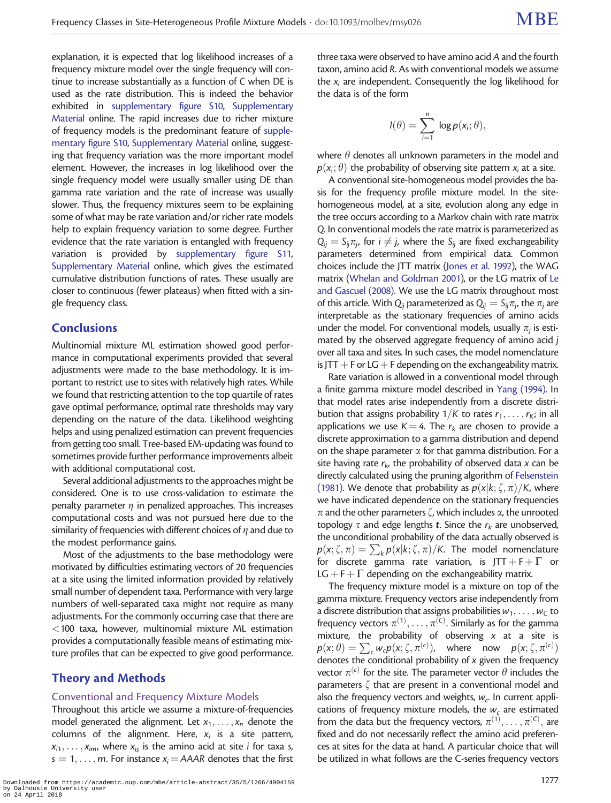explanation, it is expected that log likelihood increases of a frequency mixture model over the single frequency will continue to increase substantially as a function of C when DE is used as the rate distribution. This is indeed the behavior exhibited in [supplementary figure S10](https://academic.oup.com/mbe/article-lookup/doi/10.1093/molbev/msy026#supplementary-data), [Supplementary](https://academic.oup.com/mbe/article-lookup/doi/10.1093/molbev/msy026#supplementary-data) [Material](https://academic.oup.com/mbe/article-lookup/doi/10.1093/molbev/msy026#supplementary-data) online. The rapid increases due to richer mixture of frequency models is the predominant feature of [supple](https://academic.oup.com/mbe/article-lookup/doi/10.1093/molbev/msy026#supplementary-data)[mentary figure S10](https://academic.oup.com/mbe/article-lookup/doi/10.1093/molbev/msy026#supplementary-data), [Supplementary Material](https://academic.oup.com/mbe/article-lookup/doi/10.1093/molbev/msy026#supplementary-data) online, suggesting that frequency variation was the more important model element. However, the increases in log likelihood over the single frequency model were usually smaller using DE than gamma rate variation and the rate of increase was usually slower. Thus, the frequency mixtures seem to be explaining some of what may be rate variation and/or richer rate models help to explain frequency variation to some degree. Further evidence that the rate variation is entangled with frequency variation is provided by [supplementary figure S11,](https://academic.oup.com/mbe/article-lookup/doi/10.1093/molbev/msy026#supplementary-data) [Supplementary Material](https://academic.oup.com/mbe/article-lookup/doi/10.1093/molbev/msy026#supplementary-data) online, which gives the estimated cumulative distribution functions of rates. These usually are closer to continuous (fewer plateaus) when fitted with a single frequency class.

## **Conclusions**

Multinomial mixture ML estimation showed good performance in computational experiments provided that several adjustments were made to the base methodology. It is important to restrict use to sites with relatively high rates. While we found that restricting attention to the top quartile of rates gave optimal performance, optimal rate thresholds may vary depending on the nature of the data. Likelihood weighting helps and using penalized estimation can prevent frequencies from getting too small. Tree-based EM-updating was found to sometimes provide further performance improvements albeit with additional computational cost.

Several additional adjustments to the approaches might be considered. One is to use cross-validation to estimate the penalty parameter  $\eta$  in penalized approaches. This increases computational costs and was not pursued here due to the similarity of frequencies with different choices of  $\eta$  and due to the modest performance gains.

Most of the adjustments to the base methodology were motivated by difficulties estimating vectors of 20 frequencies at a site using the limited information provided by relatively small number of dependent taxa. Performance with very large numbers of well-separated taxa might not require as many adjustments. For the commonly occurring case that there are <100 taxa, however, multinomial mixture ML estimation provides a computationally feasible means of estimating mixture profiles that can be expected to give good performance.

## Theory and Methods

#### Conventional and Frequency Mixture Models

Throughout this article we assume a mixture-of-frequencies model generated the alignment. Let  $x_1, \ldots, x_n$  denote the columns of the alignment. Here,  $x_i$  is a site pattern,  $x_{i1}, \ldots, x_{im}$ , where  $x_{is}$  is the amino acid at site *i* for taxa *s*,  $s = 1, \ldots, m$ . For instance  $x_i = AAAR$  denotes that the first

three taxa were observed to have amino acid A and the fourth taxon, amino acid R. As with conventional models we assume the  $x_i$  are independent. Consequently the log likelihood for the data is of the form

$$
I(\theta) = \sum_{i=1}^n \log p(x_i; \theta),
$$

where  $\theta$  denotes all unknown parameters in the model and  $p(x_i; \theta)$  the probability of observing site pattern  $x_i$  at a site.

A conventional site-homogeneous model provides the basis for the frequency profile mixture model. In the sitehomogeneous model, at a site, evolution along any edge in the tree occurs according to a Markov chain with rate matrix Q. In conventional models the rate matrix is parameterized as  $Q_{ii} = S_{ii}\pi_i$ , for  $i \neq j$ , where the  $S_{ii}$  are fixed exchangeability parameters determined from empirical data. Common choices include the JTT matrix [\(Jones et al. 1992\)](#page-16-0), the WAG matrix ([Whelan and Goldman 2001\)](#page-17-0), or the LG matrix of [Le](#page-16-0) [and Gascuel \(2008\)](#page-16-0). We use the LG matrix throughout most of this article. With  $Q_{ij}$  parameterized as  $Q_{ij} = S_{ij}\pi_{ij}$ , the  $\pi_i$  are interpretable as the stationary frequencies of amino acids under the model. For conventional models, usually  $\pi_i$  is estimated by the observed aggregate frequency of amino acid j over all taxa and sites. In such cases, the model nomenclature is JTT  $+$  F or LG  $+$  F depending on the exchangeability matrix.

Rate variation is allowed in a conventional model through a finite gamma mixture model described in [Yang \(1994\).](#page-17-0) In that model rates arise independently from a discrete distribution that assigns probability  $1/K$  to rates  $r_1, \ldots, r_K$ ; in all applications we use  $K = 4$ . The  $r_k$  are chosen to provide a discrete approximation to a gamma distribution and depend on the shape parameter  $\alpha$  for that gamma distribution. For a site having rate  $r_k$ , the probability of observed data x can be directly calculated using the pruning algorithm of [Felsenstein](#page-16-0) [\(1981\).](#page-16-0) We denote that probability as  $p(x|k; \zeta, \pi)/K$ , where we have indicated dependence on the stationary frequencies  $\pi$  and the other parameters  $\zeta$ , which includes  $\alpha$ , the unrooted topology  $\tau$  and edge lengths **t**. Since the  $r_k$  are unobserved, the unconditional probability of the data actually observed is  $p(x; \zeta, \pi) = \sum_{k} p(x|k; \zeta, \pi) / K$ . The model nomenclature for discrete gamma rate variation, is JTT + F +  $\Gamma$  or  $LG + F + \Gamma$  depending on the exchangeability matrix.

The frequency mixture model is a mixture on top of the gamma mixture. Frequency vectors arise independently from a discrete distribution that assigns probabilities  $w_1, \ldots, w_C$  to frequency vectors  $\pi^{(1)}, \ldots, \pi^{(\mathsf{C})}.$  Similarly as for the gamma mixture, the probability of observing  $x$  at a site is  $p(x; \theta) = \sum_{c} w_c p(x; \zeta, \pi^{(c)})$ , where now  $p(x; \zeta, \pi^{(c)})$ denotes the conditional probability of  $x$  given the frequency vector  $\pi^{(c)}$  for the site. The parameter vector  $\theta$  includes the parameters  $\zeta$  that are present in a conventional model and also the frequency vectors and weights,  $w_c$ . In current applications of frequency mixture models, the  $w_c$  are estimated from the data but the frequency vectors,  $\pi^{(1)}, \ldots, \pi^{(C)}$ , are fixed and do not necessarily reflect the amino acid preferences at sites for the data at hand. A particular choice that will be utilized in what follows are the C-series frequency vectors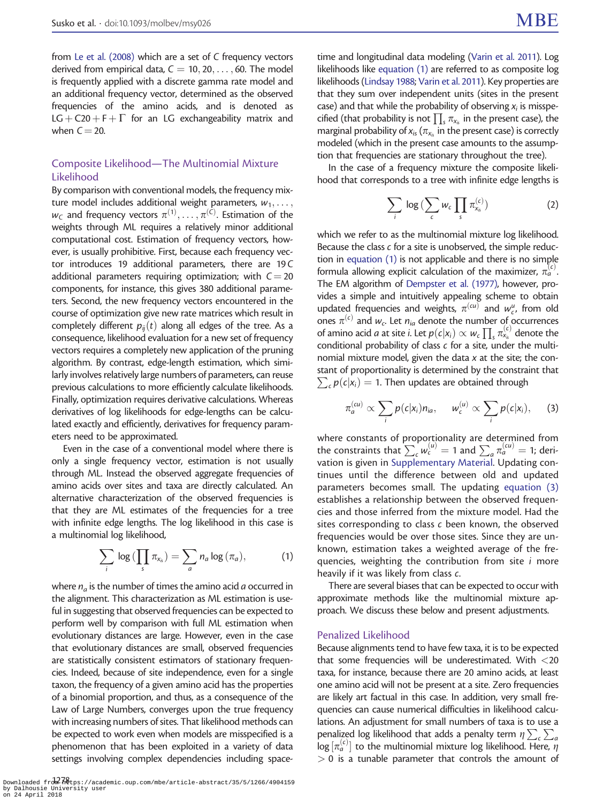<span id="page-12-0"></span>from [Le et al. \(2008\)](#page-16-0) which are a set of C frequency vectors derived from empirical data,  $C = 10, 20, \ldots, 60$ . The model is frequently applied with a discrete gamma rate model and an additional frequency vector, determined as the observed frequencies of the amino acids, and is denoted as  $LG + C20 + F + \Gamma$  for an LG exchangeability matrix and when  $C = 20$ .

#### Composite Likelihood—The Multinomial Mixture Likelihood

By comparison with conventional models, the frequency mixture model includes additional weight parameters,  $w_1, \ldots,$  $w_{\mathcal{C}}$  and frequency vectors  $\pi^{(1)}, \ldots, \pi^{(\mathcal{C})}.$  Estimation of the weights through ML requires a relatively minor additional computational cost. Estimation of frequency vectors, however, is usually prohibitive. First, because each frequency vector introduces 19 additional parameters, there are 19 C additional parameters requiring optimization; with  $C = 20$ components, for instance, this gives 380 additional parameters. Second, the new frequency vectors encountered in the course of optimization give new rate matrices which result in completely different  $p_{ii}(t)$  along all edges of the tree. As a consequence, likelihood evaluation for a new set of frequency vectors requires a completely new application of the pruning algorithm. By contrast, edge-length estimation, which similarly involves relatively large numbers of parameters, can reuse previous calculations to more efficiently calculate likelihoods. Finally, optimization requires derivative calculations. Whereas derivatives of log likelihoods for edge-lengths can be calculated exactly and efficiently, derivatives for frequency parameters need to be approximated.

Even in the case of a conventional model where there is only a single frequency vector, estimation is not usually through ML. Instead the observed aggregate frequencies of amino acids over sites and taxa are directly calculated. An alternative characterization of the observed frequencies is that they are ML estimates of the frequencies for a tree with infinite edge lengths. The log likelihood in this case is a multinomial log likelihood,

$$
\sum_{i} \log \left( \prod_{s} \pi_{x_{is}} \right) = \sum_{a} n_a \log \left( \pi_a \right), \tag{1}
$$

where  $n_a$  is the number of times the amino acid a occurred in the alignment. This characterization as ML estimation is useful in suggesting that observed frequencies can be expected to perform well by comparison with full ML estimation when evolutionary distances are large. However, even in the case that evolutionary distances are small, observed frequencies are statistically consistent estimators of stationary frequencies. Indeed, because of site independence, even for a single taxon, the frequency of a given amino acid has the properties of a binomial proportion, and thus, as a consequence of the Law of Large Numbers, converges upon the true frequency with increasing numbers of sites. That likelihood methods can be expected to work even when models are misspecified is a phenomenon that has been exploited in a variety of data settings involving complex dependencies including spacetime and longitudinal data modeling [\(Varin et al. 2011\)](#page-16-0). Log likelihoods like equation (1) are referred to as composite log likelihoods [\(Lindsay 1988](#page-16-0); [Varin et al. 2011\)](#page-16-0). Key properties are that they sum over independent units (sites in the present case) and that while the probability of observing  $x_i$  is misspecified (that probability is not  $\prod_s \pi_{x_s}$  in the present case), the marginal probability of  $x_{is}$  ( $\pi_{x_{is}}$  in the present case) is correctly modeled (which in the present case amounts to the assumption that frequencies are stationary throughout the tree).

In the case of a frequency mixture the composite likelihood that corresponds to a tree with infinite edge lengths is

$$
\sum_{i} \log \big( \sum_{c} w_c \prod_{s} \pi_{x_{is}}^{(c)} \big) \tag{2}
$$

which we refer to as the multinomial mixture log likelihood. Because the class c for a site is unobserved, the simple reduction in equation (1) is not applicable and there is no simple formula allowing explicit calculation of the maximizer,  $\pi_a^{(c)}$ . The EM algorithm of [Dempster et al. \(1977\),](#page-16-0) however, provides a simple and intuitively appealing scheme to obtain updated frequencies and weights,  $\pi^{(cu)}$  and  $w_c^u$ , from old ones  $\pi^{(c)}$  and  $w_c$ . Let  $n_{ia}$  denote the number of occurrences of amino acid *a* at site *i*. Let  $p(c|x_i) \propto w_c \prod_s \pi_{x_s}^{(c)}$  denote the conditional probability of class c for a site, under the multinomial mixture model, given the data  $x$  at the site; the constant of proportionality is determined by the constraint that  $\sum_c p(c|x_i) = 1$ . Then updates are obtained through

$$
\pi_a^{(cu)} \propto \sum_i p(c|x_i) n_{ia}, \quad w_c^{(u)} \propto \sum_i p(c|x_i), \quad (3)
$$

where constants of proportionality are determined from the constraints that  $\sum_{c} w_c^{(u)} = 1$  and  $\sum_{a} \pi_a^{(cu)} = 1$ ; derivation is given in [Supplementary Material](https://academic.oup.com/mbe/article-lookup/doi/10.1093/molbev/msy026#supplementary-data). Updating continues until the difference between old and updated parameters becomes small. The updating equation (3) establishes a relationship between the observed frequencies and those inferred from the mixture model. Had the sites corresponding to class c been known, the observed frequencies would be over those sites. Since they are unknown, estimation takes a weighted average of the frequencies, weighting the contribution from site *i* more heavily if it was likely from class c.

There are several biases that can be expected to occur with approximate methods like the multinomial mixture approach. We discuss these below and present adjustments.

#### Penalized Likelihood

Because alignments tend to have few taxa, it is to be expected that some frequencies will be underestimated. With  $<$  20 taxa, for instance, because there are 20 amino acids, at least one amino acid will not be present at a site. Zero frequencies are likely art factual in this case. In addition, very small frequencies can cause numerical difficulties in likelihood calculations. An adjustment for small numbers of taxa is to use a penalized log likelihood that adds a penalty term  $\eta \sum_c \sum_a$  $\log \left[ \pi_a^{(c)} \right]$  to the multinomial mixture log likelihood. Here,  $\eta$  $> 0$  is a tunable parameter that controls the amount of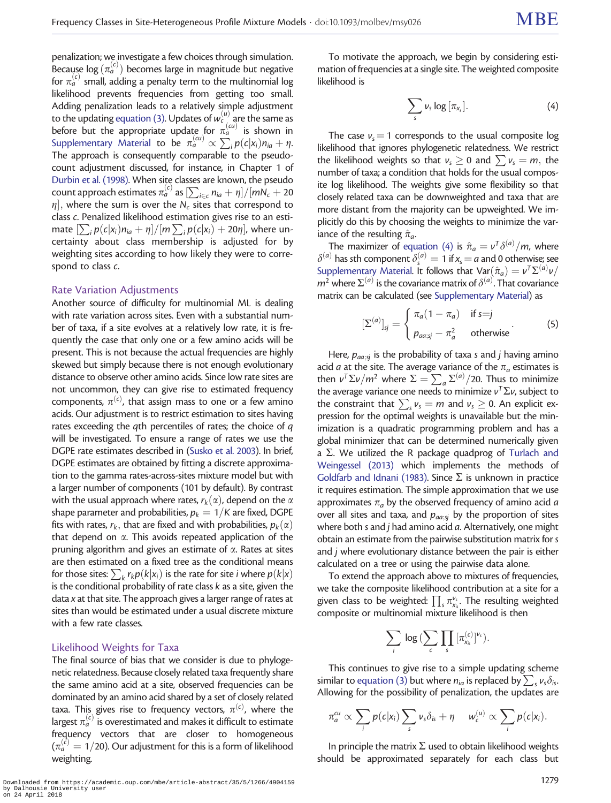penalization; we investigate a few choices through simulation. Because log  $(\pi_a^{(c)})$  becomes large in magnitude but negative for  $\pi_a^{(c)}$  small, adding a penalty term to the multinomial log likelihood prevents frequencies from getting too small. Adding penalization leads to a relatively simple adjustment to the updating [equation \(3\)](#page-12-0). Updates of  $w^{(u)}_{c}$  are the same as before but the appropriate update for  $\pi_a^{(\alpha)}$  is shown in [Supplementary Material](https://academic.oup.com/mbe/article-lookup/doi/10.1093/molbev/msy026#supplementary-data) to be  $\pi_a^{(\alpha)} \propto \sum_i p(c|x_i)n_{ia} + \eta$ . The approach is consequently comparable to the pseudocount adjustment discussed, for instance, in Chapter 1 of [Durbin et al. \(1998\).](#page-16-0) When site classes are known, the pseudo count approach estimates  $\pi_a^{(c)}$  as  $\left[\sum_{i \in c} n_{ia} + \eta\right] / [mN_c + 20]$  $[\eta],$  where the sum is over the  $\mathsf{N}_c$  sites that correspond to class c. Penalized likelihood estimation gives rise to an estimate  $[\sum_i p(c|x_i)n_{ia} + \eta]/[m \sum_i p(c|x_i) + 20\eta]$ , where uncertainty about class membership is adjusted for by weighting sites according to how likely they were to correspond to class  $c$ .

#### Rate Variation Adjustments

Another source of difficulty for multinomial ML is dealing with rate variation across sites. Even with a substantial number of taxa, if a site evolves at a relatively low rate, it is frequently the case that only one or a few amino acids will be present. This is not because the actual frequencies are highly skewed but simply because there is not enough evolutionary distance to observe other amino acids. Since low rate sites are not uncommon, they can give rise to estimated frequency components,  $\pi^{(c)}$ , that assign mass to one or a few amino acids. Our adjustment is to restrict estimation to sites having rates exceeding the qth percentiles of rates; the choice of q will be investigated. To ensure a range of rates we use the DGPE rate estimates described in [\(Susko et al. 2003](#page-16-0)). In brief, DGPE estimates are obtained by fitting a discrete approximation to the gamma rates-across-sites mixture model but with a larger number of components (101 by default). By contrast with the usual approach where rates,  $r_k(\alpha)$ , depend on the  $\alpha$ shape parameter and probabilities,  $p_k = 1/K$  are fixed, DGPE fits with rates,  $r_k$ , that are fixed and with probabilities,  $p_k(\alpha)$ that depend on  $\alpha$ . This avoids repeated application of the pruning algorithm and gives an estimate of  $\alpha$ . Rates at sites are then estimated on a fixed tree as the conditional means for those sites:  $\sum_{k} r_k p(k|x_i)$  is the rate for site *i* where  $p(k|x)$ is the conditional probability of rate class  $k$  as a site, given the data x at that site. The approach gives a larger range of rates at sites than would be estimated under a usual discrete mixture with a few rate classes.

#### Likelihood Weights for Taxa

The final source of bias that we consider is due to phylogenetic relatedness. Because closely related taxa frequently share the same amino acid at a site, observed frequencies can be dominated by an amino acid shared by a set of closely related taxa. This gives rise to frequency vectors,  $\pi^{(\epsilon)}$ , where the largest  $\pi_a^{(c)}$  is overestimated and makes it difficult to estimate frequency vectors that are closer to homogeneous  $(\pi_a^{(\dot{c})} = 1/2$ 0). Our adjustment for this is a form of likelihood weighting.

To motivate the approach, we begin by considering estimation of frequencies at a single site. The weighted composite likelihood is

$$
\sum_{s} \nu_{s} \log \left[ \pi_{x_{s}} \right]. \tag{4}
$$

The case  $v_s = 1$  corresponds to the usual composite log likelihood that ignores phylogenetic relatedness. We restrict the likelihood weights so that  $v_s \ge 0$  and  $\sum v_s = m$ , the number of taxa; a condition that holds for the usual composite log likelihood. The weights give some flexibility so that closely related taxa can be downweighted and taxa that are more distant from the majority can be upweighted. We implicitly do this by choosing the weights to minimize the variance of the resulting  $\hat{\pi}_a$ .

The maximizer of equation (4) is  $\hat{\pi}_a = v^T\delta^{(a)}/m$ , where  $\delta^{(a)}$  has sth component  $\delta^{(a)}_s = 1$  if  $x_s = a$  and 0 otherwise; see [Supplementary Material](https://academic.oup.com/mbe/article-lookup/doi/10.1093/molbev/msy026#supplementary-data). It follows that  $\text{Var}(\hat{\pi}_a) = \nu^\mathsf{T}\Sigma^{(a)}\nu$  $m^2$  where  $\Sigma^{(a)}$  is the covariance matrix of  $\delta^{(a)}$ . That covariance matrix can be calculated (see [Supplementary Material](https://academic.oup.com/mbe/article-lookup/doi/10.1093/molbev/msy026#supplementary-data)) as

$$
\left[\Sigma^{(a)}\right]_{sj} = \begin{cases} \pi_a(1-\pi_a) & \text{if } s=j\\ p_{aa;sj} - \pi_a^2 & \text{otherwise} \end{cases}
$$
 (5)

Here,  $p_{aq:si}$  is the probability of taxa s and j having amino acid *a* at the site. The average variance of the  $\pi_a$  estimates is then  $v^T \Sigma v/m^2$  where  $\Sigma = \sum_a \Sigma^{(a)}/20$ . Thus to minimize the average variance one needs to minimize  $v^T \Sigma v$ , subject to the average variance one needs to minimize  $v \n\ge v$ , stayled to<br>the constraint that  $\sum_{s} v_s = m$  and  $v_s \ge 0$ . An explicit expression for the optimal weights is unavailable but the minimization is a quadratic programming problem and has a global minimizer that can be determined numerically given a  $\Sigma$ . We utilized the R package quadprog of [Turlach and](#page-16-0) [Weingessel \(2013\)](#page-16-0) which implements the methods of [Goldfarb and Idnani \(1983\)](#page-16-0). Since  $\Sigma$  is unknown in practice it requires estimation. The simple approximation that we use approximates  $\pi_a$  by the observed frequency of amino acid a over all sites and taxa, and  $p_{\text{q}a;si}$  by the proportion of sites where both s and  $j$  had amino acid  $a$ . Alternatively, one might obtain an estimate from the pairwise substitution matrix for s and j where evolutionary distance between the pair is either calculated on a tree or using the pairwise data alone.

To extend the approach above to mixtures of frequencies, we take the composite likelihood contribution at a site for a we take the composite inclinious contribution at a site for a<br>given class to be weighted:  $\prod_s \pi_{\chi_s}^{\nu_s}$ . The resulting weighted composite or multinomial mixture likelihood is then

$$
\sum_i \, \log \, (\sum_c \prod_s \, [\pi_{x_{is}}^{(c)}]^{v_s}).
$$

This continues to give rise to a simple updating scheme similar to [equation \(3\)](#page-12-0) but where  $n_{ia}$  is replaced by  $\sum_s v_s \delta_{is}$ . Allowing for the possibility of penalization, the updates are

$$
\pi_a^{cu} \propto \sum_i p(c|x_i) \sum_s v_s \delta_{is} + \eta \quad w_c^{(u)} \propto \sum_i p(c|x_i).
$$

In principle the matrix  $\Sigma$  used to obtain likelihood weights should be approximated separately for each class but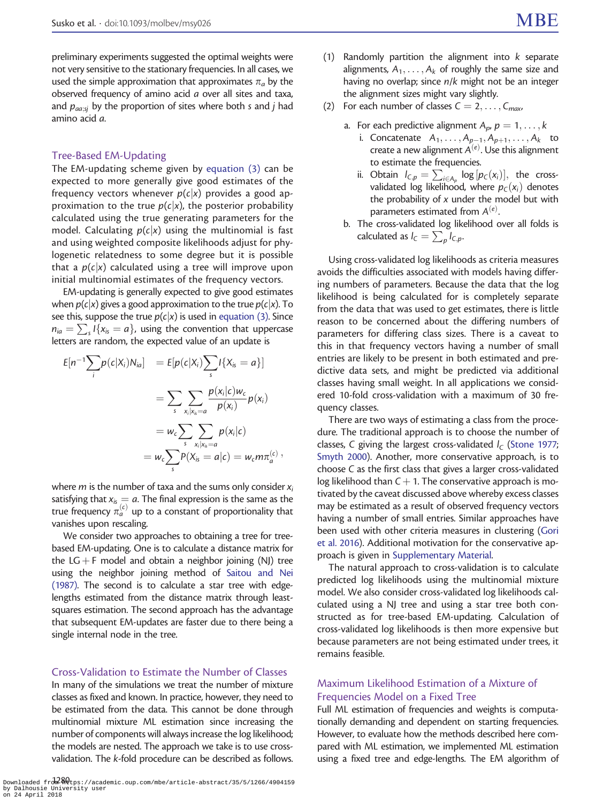preliminary experiments suggested the optimal weights were not very sensitive to the stationary frequencies. In all cases, we used the simple approximation that approximates  $\pi_a$  by the observed frequency of amino acid a over all sites and taxa, and  $p_{\text{aas}}$  by the proportion of sites where both s and j had amino acid a.

#### Tree-Based EM-Updating

The EM-updating scheme given by [equation \(3\)](#page-12-0) can be expected to more generally give good estimates of the frequency vectors whenever  $p(c|x)$  provides a good approximation to the true  $p(c|x)$ , the posterior probability calculated using the true generating parameters for the model. Calculating  $p(c|x)$  using the multinomial is fast and using weighted composite likelihoods adjust for phylogenetic relatedness to some degree but it is possible that a  $p(c|x)$  calculated using a tree will improve upon initial multinomial estimates of the frequency vectors.

EM-updating is generally expected to give good estimates when  $p(c|x)$  gives a good approximation to the true  $p(c|x)$ . To see this, suppose the true  $p(c|x)$  is used in [equation \(3\)](#page-12-0). Since  $n_{ia} = \sum_{s} I\{x_{is} = a\}$ , using the convention that uppercase letters are random, the expected value of an update is

$$
E[n^{-1}\sum_{i}p(c|X_{i})N_{ia}] = E[p(c|X_{i})\sum_{s}l\{X_{is} = a\}]
$$
  

$$
= \sum_{s}\sum_{x_{i}|x_{is}=a}\frac{p(x_{i}|c)w_{c}}{p(x_{i})}p(x_{i})
$$
  

$$
= w_{c}\sum_{s}\sum_{x_{i}|x_{is}=a}p(x_{i}|c)
$$
  

$$
= w_{c}\sum_{s}P(X_{is} = a|c) = w_{c}m\pi_{a}^{(c)},
$$

where *m* is the number of taxa and the sums only consider  $x_i$ satisfying that  $x_{is} = a$ . The final expression is the same as the true frequency  $\pi_a^{(c)}$  up to a constant of proportionality that vanishes upon rescaling.

We consider two approaches to obtaining a tree for treebased EM-updating. One is to calculate a distance matrix for the LG + F model and obtain a neighbor joining (NJ) tree using the neighbor joining method of [Saitou and Nei](#page-16-0) [\(1987\)](#page-16-0). The second is to calculate a star tree with edgelengths estimated from the distance matrix through leastsquares estimation. The second approach has the advantage that subsequent EM-updates are faster due to there being a single internal node in the tree.

#### Cross-Validation to Estimate the Number of Classes

In many of the simulations we treat the number of mixture classes as fixed and known. In practice, however, they need to be estimated from the data. This cannot be done through multinomial mixture ML estimation since increasing the number of components will always increase the log likelihood; the models are nested. The approach we take is to use crossvalidation. The k-fold procedure can be described as follows.

- (1) Randomly partition the alignment into  $k$  separate alignments,  $A_1, \ldots, A_k$  of roughly the same size and having no overlap; since n/k might not be an integer the alignment sizes might vary slightly.
- (2) For each number of classes  $C = 2, \ldots, C_{max}$ 
	- a. For each predictive alignment  $A_p$ ,  $p = 1, \ldots, k$ 
		- i. Concatenate  $A_1, \ldots, A_{p-1}, A_{p+1}, \ldots, A_k$  to create a new alignment  $A^{(e)}$ . Use this alignment to estimate the frequencies.
		- ii. Obtain  $I_{C,p} = \sum_{i \in A_p} \log [p_C(x_i)]$ , the crossvalidated log likelihood, where  $p_C(x_i)$  denotes the probability of  $x$  under the model but with parameters estimated from  $A^{(e)}$ . .
	- b. The cross-validated log likelihood over all folds is calculated as  $I_C = \sum_p I_{C,p}$ .

Using cross-validated log likelihoods as criteria measures avoids the difficulties associated with models having differing numbers of parameters. Because the data that the log likelihood is being calculated for is completely separate from the data that was used to get estimates, there is little reason to be concerned about the differing numbers of parameters for differing class sizes. There is a caveat to this in that frequency vectors having a number of small entries are likely to be present in both estimated and predictive data sets, and might be predicted via additional classes having small weight. In all applications we considered 10-fold cross-validation with a maximum of 30 frequency classes.

There are two ways of estimating a class from the procedure. The traditional approach is to choose the number of classes, C giving the largest cross-validated  $I_c$  ([Stone 1977;](#page-16-0) [Smyth 2000](#page-16-0)). Another, more conservative approach, is to choose C as the first class that gives a larger cross-validated log likelihood than  $C + 1$ . The conservative approach is motivated by the caveat discussed above whereby excess classes may be estimated as a result of observed frequency vectors having a number of small entries. Similar approaches have been used with other criteria measures in clustering [\(Gori](#page-16-0) [et al. 2016\)](#page-16-0). Additional motivation for the conservative approach is given in [Supplementary Material](https://academic.oup.com/mbe/article-lookup/doi/10.1093/molbev/msy026#supplementary-data).

The natural approach to cross-validation is to calculate predicted log likelihoods using the multinomial mixture model. We also consider cross-validated log likelihoods calculated using a NJ tree and using a star tree both constructed as for tree-based EM-updating. Calculation of cross-validated log likelihoods is then more expensive but because parameters are not being estimated under trees, it remains feasible.

#### Maximum Likelihood Estimation of a Mixture of Frequencies Model on a Fixed Tree

Full ML estimation of frequencies and weights is computationally demanding and dependent on starting frequencies. However, to evaluate how the methods described here compared with ML estimation, we implemented ML estimation using a fixed tree and edge-lengths. The EM algorithm of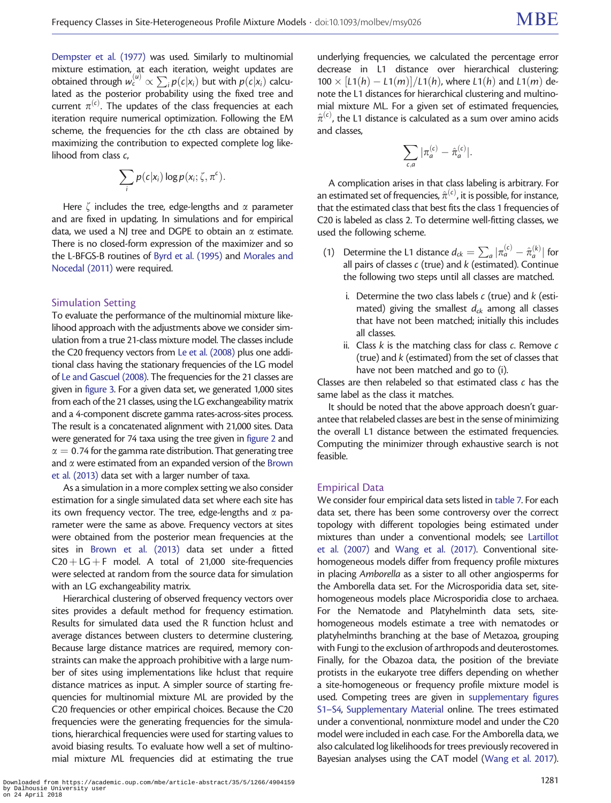[Dempster et al. \(1977\)](#page-16-0) was used. Similarly to multinomial mixture estimation, at each iteration, weight updates are obtained through  $w_c^{(u)} \propto \sum_j p(c|x_j)$  but with  $p(c|x_i)$  calculated as the posterior probability using the fixed tree and current  $\pi^{(c)}$ . The updates of the class frequencies at each iteration require numerical optimization. Following the EM scheme, the frequencies for the cth class are obtained by maximizing the contribution to expected complete log likelihood from class c,

$$
\sum_i p(c|x_i) \log p(x_i; \zeta, \pi^c).
$$

Here  $\zeta$  includes the tree, edge-lengths and  $\alpha$  parameter and are fixed in updating. In simulations and for empirical data, we used a NJ tree and DGPE to obtain an  $\alpha$  estimate. There is no closed-form expression of the maximizer and so the L-BFGS-B routines of [Byrd et al. \(1995\)](#page-16-0) and [Morales and](#page-16-0) [Nocedal \(2011\)](#page-16-0) were required.

#### Simulation Setting

To evaluate the performance of the multinomial mixture likelihood approach with the adjustments above we consider simulation from a true 21-class mixture model. The classes include the C20 frequency vectors from [Le et al. \(2008\)](#page-16-0) plus one additional class having the stationary frequencies of the LG model of [Le and Gascuel \(2008\)](#page-16-0). The frequencies for the 21 classes are given in [figure 3](#page-4-0). For a given data set, we generated 1,000 sites from each of the 21 classes, using the LG exchangeability matrix and a 4-component discrete gamma rates-across-sites process. The result is a concatenated alignment with 21,000 sites. Data were generated for 74 taxa using the tree given in [figure 2](#page-3-0) and  $\alpha = 0.74$  for the gamma rate distribution. That generating tree and  $\alpha$  were estimated from an expanded version of the [Brown](#page-16-0) [et al. \(2013\)](#page-16-0) data set with a larger number of taxa.

As a simulation in a more complex setting we also consider estimation for a single simulated data set where each site has its own frequency vector. The tree, edge-lengths and  $\alpha$  parameter were the same as above. Frequency vectors at sites were obtained from the posterior mean frequencies at the sites in [Brown et al. \(2013\)](#page-16-0) data set under a fitted  $C20 + LG + F$  model. A total of 21,000 site-frequencies were selected at random from the source data for simulation with an LG exchangeability matrix.

Hierarchical clustering of observed frequency vectors over sites provides a default method for frequency estimation. Results for simulated data used the R function hclust and average distances between clusters to determine clustering. Because large distance matrices are required, memory constraints can make the approach prohibitive with a large number of sites using implementations like hclust that require distance matrices as input. A simpler source of starting frequencies for multinomial mixture ML are provided by the C20 frequencies or other empirical choices. Because the C20 frequencies were the generating frequencies for the simulations, hierarchical frequencies were used for starting values to avoid biasing results. To evaluate how well a set of multinomial mixture ML frequencies did at estimating the true

underlying frequencies, we calculated the percentage error decrease in L1 distance over hierarchical clustering:  $100 \times [L1(h) - L1(m)]/L1(h)$ , where  $L1(h)$  and  $L1(m)$  denote the L1 distances for hierarchical clustering and multinomial mixture ML. For a given set of estimated frequencies,  $\hat{\pi}^{(\epsilon)}$ , the L1 distance is calculated as a sum over amino acids and classes,

$$
\sum_{\epsilon,a}|\pi_a^{(\epsilon)}-\hat{\pi}_a^{(\epsilon)}|.
$$

A complication arises in that class labeling is arbitrary. For an estimated set of frequencies,  $\hat{\pi}^{(\mathsf{c})}$ , it is possible, for instance, that the estimated class that best fits the class 1 frequencies of C20 is labeled as class 2. To determine well-fitting classes, we used the following scheme.

- (1) Determine the L1 distance  $d_{ck} = \sum_a |\pi_a^{(c)} \hat{\pi}_a^{(k)}|$  for all pairs of classes  $c$  (true) and  $k$  (estimated). Continue the following two steps until all classes are matched.
	- i. Determine the two class labels  $c$  (true) and  $k$  (estimated) giving the smallest  $d_{ck}$  among all classes that have not been matched; initially this includes all classes.
	- ii. Class  $k$  is the matching class for class  $c$ . Remove  $c$ (true) and k (estimated) from the set of classes that have not been matched and go to (i).

Classes are then relabeled so that estimated class c has the same label as the class it matches.

It should be noted that the above approach doesn't guarantee that relabeled classes are best in the sense of minimizing the overall L1 distance between the estimated frequencies. Computing the minimizer through exhaustive search is not feasible.

#### Empirical Data

We consider four empirical data sets listed in [table 7](#page-7-0). For each data set, there has been some controversy over the correct topology with different topologies being estimated under mixtures than under a conventional models; see [Lartillot](#page-16-0) [et al. \(2007\)](#page-16-0) and [Wang et al. \(2017\)](#page-16-0). Conventional sitehomogeneous models differ from frequency profile mixtures in placing Amborella as a sister to all other angiosperms for the Amborella data set. For the Microsporidia data set, sitehomogeneous models place Microsporidia close to archaea. For the Nematode and Platyhelminth data sets, sitehomogeneous models estimate a tree with nematodes or platyhelminths branching at the base of Metazoa, grouping with Fungi to the exclusion of arthropods and deuterostomes. Finally, for the Obazoa data, the position of the breviate protists in the eukaryote tree differs depending on whether a site-homogeneous or frequency profile mixture model is used. Competing trees are given in [supplementary figures](https://academic.oup.com/mbe/article-lookup/doi/10.1093/molbev/msy026#supplementary-data) [S1–S4,](https://academic.oup.com/mbe/article-lookup/doi/10.1093/molbev/msy026#supplementary-data) [Supplementary Material](https://academic.oup.com/mbe/article-lookup/doi/10.1093/molbev/msy026#supplementary-data) online. The trees estimated under a conventional, nonmixture model and under the C20 model were included in each case. For the Amborella data, we also calculated log likelihoods for trees previously recovered in Bayesian analyses using the CAT model [\(Wang et al. 2017\)](#page-16-0).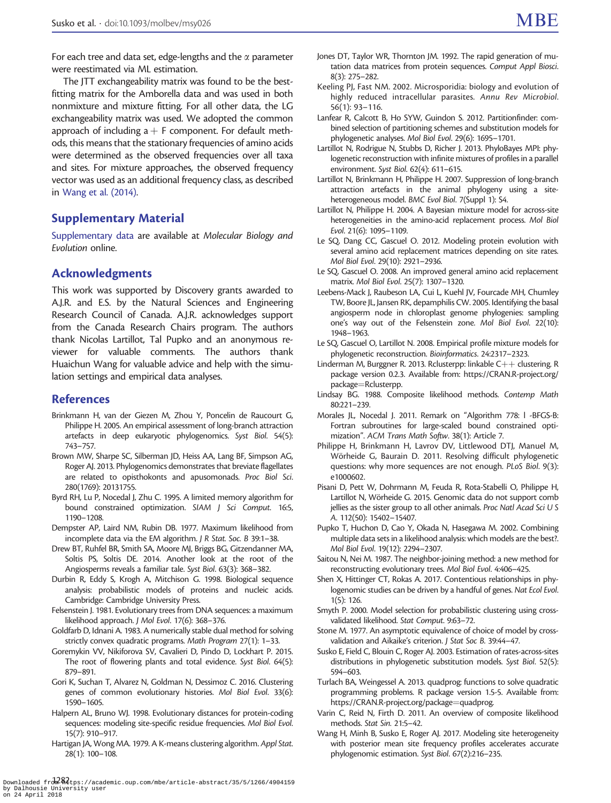<span id="page-16-0"></span>The JTT exchangeability matrix was found to be the bestfitting matrix for the Amborella data and was used in both nonmixture and mixture fitting. For all other data, the LG exchangeability matrix was used. We adopted the common approach of including  $a + F$  component. For default methods, this means that the stationary frequencies of amino acids were determined as the observed frequencies over all taxa and sites. For mixture approaches, the observed frequency vector was used as an additional frequency class, as described in [Wang et al. \(2014\).](#page-17-0)

## Supplementary Material

[Supplementary data](https://academic.oup.com/mbe/article-lookup/doi/10.1093/molbev/msy026#supplementary-data) are available at Molecular Biology and Evolution online.

## Acknowledgments

This work was supported by Discovery grants awarded to A.J.R. and E.S. by the Natural Sciences and Engineering Research Council of Canada. A.J.R. acknowledges support from the Canada Research Chairs program. The authors thank Nicolas Lartillot, Tal Pupko and an anonymous reviewer for valuable comments. The authors thank Huaichun Wang for valuable advice and help with the simulation settings and empirical data analyses.

#### References

- Brinkmann H, van der Giezen M, Zhou Y, Poncelin de Raucourt G, Philippe H. 2005. An empirical assessment of long-branch attraction artefacts in deep eukaryotic phylogenomics. Syst Biol. 54(5): 743–757.
- Brown MW, Sharpe SC, Silberman JD, Heiss AA, Lang BF, Simpson AG, Roger AJ. 2013. Phylogenomics demonstrates that breviate flagellates are related to opisthokonts and apusomonads. Proc Biol Sci. 280(1769): 20131755.
- Byrd RH, Lu P, Nocedal J, Zhu C. 1995. A limited memory algorithm for bound constrained optimization. SIAM J Sci Comput. 16:5, 1190–1208.
- Dempster AP, Laird NM, Rubin DB. 1977. Maximum likelihood from incomplete data via the EM algorithm. J R Stat. Soc. B 39:1–38.
- Drew BT, Ruhfel BR, Smith SA, Moore MJ, Briggs BG, Gitzendanner MA, Soltis PS, Soltis DE. 2014. Another look at the root of the Angiosperms reveals a familiar tale. Syst Biol. 63(3): 368–382.
- Durbin R, Eddy S, Krogh A, Mitchison G. 1998. Biological sequence analysis: probabilistic models of proteins and nucleic acids. Cambridge: Cambridge University Press.
- Felsenstein J. 1981. Evolutionary trees from DNA sequences: a maximum likelihood approach. J Mol Evol. 17(6): 368–376.
- Goldfarb D, Idnani A. 1983. A numerically stable dual method for solving strictly convex quadratic programs. Math Program 27(1): 1–33.
- Goremykin VV, Nikiforova SV, Cavalieri D, Pindo D, Lockhart P. 2015. The root of flowering plants and total evidence. Syst Biol. 64(5): 879–891.
- Gori K, Suchan T, Alvarez N, Goldman N, Dessimoz C. 2016. Clustering genes of common evolutionary histories. Mol Biol Evol. 33(6): 1590–1605.
- Halpern AL, Bruno WJ. 1998. Evolutionary distances for protein-coding sequences: modeling site-specific residue frequencies. Mol Biol Evol. 15(7): 910–917.
- Hartigan JA, Wong MA. 1979. A K-means clustering algorithm. Appl Stat. 28(1): 100–108.
- Jones DT, Taylor WR, Thornton JM. 1992. The rapid generation of mutation data matrices from protein sequences. Comput Appl Biosci. 8(3): 275–282.
- Keeling PJ, Fast NM. 2002. Microsporidia: biology and evolution of highly reduced intracellular parasites. Annu Rev Microbiol. 56(1): 93–116.
- Lanfear R, Calcott B, Ho SYW, Guindon S. 2012. Partitionfinder: combined selection of partitioning schemes and substitution models for phylogenetic analyses. Mol Biol Evol. 29(6): 1695–1701.
- Lartillot N, Rodrigue N, Stubbs D, Richer J. 2013. PhyloBayes MPI: phylogenetic reconstruction with infinite mixtures of profiles in a parallel environment. Syst Biol. 62(4): 611–615.
- Lartillot N, Brinkmann H, Philippe H. 2007. Suppression of long-branch attraction artefacts in the animal phylogeny using a siteheterogeneous model. BMC Evol Biol. 7(Suppl 1): S4.
- Lartillot N, Philippe H. 2004. A Bayesian mixture model for across-site heterogeneities in the amino-acid replacement process. Mol Biol Evol. 21(6): 1095–1109.
- Le SQ, Dang CC, Gascuel O. 2012. Modeling protein evolution with several amino acid replacement matrices depending on site rates. Mol Biol Evol. 29(10): 2921–2936.
- Le SQ, Gascuel O. 2008. An improved general amino acid replacement matrix. Mol Biol Evol. 25(7): 1307–1320.
- Leebens-Mack J, Raubeson LA, Cui L, Kuehl JV, Fourcade MH, Chumley TW, Boore JL, Jansen RK, depamphilis CW. 2005. Identifying the basal angiosperm node in chloroplast genome phylogenies: sampling one's way out of the Felsenstein zone. Mol Biol Evol. 22(10): 1948–1963.
- Le SQ, Gascuel O, Lartillot N. 2008. Empirical profile mixture models for phylogenetic reconstruction. Bioinformatics. 24:2317–2323.
- Linderman M, Burggner R. 2013. Rclusterpp: linkable  $C++$  clustering. R package version 0.2.3. Available from: [https://CRAN.R-project.org/](https://CRAN.R-project.org/package=Rclusterpp) [package](https://CRAN.R-project.org/package=Rclusterpp)=[Rclusterpp.](https://CRAN.R-project.org/package=Rclusterpp)
- Lindsay BG. 1988. Composite likelihood methods. Contemp Math 80:221–239.
- Morales JL, Nocedal J. 2011. Remark on "Algorithm 778: l -BFGS-B: Fortran subroutines for large-scaled bound constrained optimization". ACM Trans Math Softw. 38(1): Article 7.
- Philippe H, Brinkmann H, Lavrov DV, Littlewood DTJ, Manuel M, Wörheide G, Baurain D. 2011. Resolving difficult phylogenetic questions: why more sequences are not enough. PLoS Biol. 9(3): e1000602.
- Pisani D, Pett W, Dohrmann M, Feuda R, Rota-Stabelli O, Philippe H, Lartillot N, Wörheide G. 2015. Genomic data do not support comb jellies as the sister group to all other animals. Proc Natl Acad Sci U S A. 112(50): 15402–15407.
- Pupko T, Huchon D, Cao Y, Okada N, Hasegawa M. 2002. Combining multiple data sets in a likelihood analysis: which models are the best?. Mol Biol Evol. 19(12): 2294–2307.
- Saitou N, Nei M. 1987. The neighbor-joining method: a new method for reconstructing evolutionary trees. Mol Biol Evol. 4:406–425.
- Shen X, Hittinger CT, Rokas A. 2017. Contentious relationships in phylogenomic studies can be driven by a handful of genes. Nat Ecol Evol. 1(5): 126.
- Smyth P. 2000. Model selection for probabilistic clustering using crossvalidated likelihood. Stat Comput. 9:63–72.
- Stone M. 1977. An asymptotic equivalence of choice of model by crossvalidation and Aikaike's criterion. J Stat Soc B. 39:44–47.
- Susko E, Field C, Blouin C, Roger AJ. 2003. Estimation of rates-across-sites distributions in phylogenetic substitution models. Syst Biol. 52(5): 594–603.
- Turlach BA, Weingessel A. 2013. quadprog: functions to solve quadratic programming problems. R package version 1.5-5. Available from: [https://CRAN.R-project.org/package](https://CRAN.R-project.org/package=quadprog)=[quadprog](https://CRAN.R-project.org/package=quadprog).
- Varin C, Reid N, Firth D. 2011. An overview of composite likelihood methods. Stat Sin. 21:5–42.
- Wang H, Minh B, Susko E, Roger AJ. 2017. Modeling site heterogeneity with posterior mean site frequency profiles accelerates accurate phylogenomic estimation. Syst Biol. 67(2):216–235.